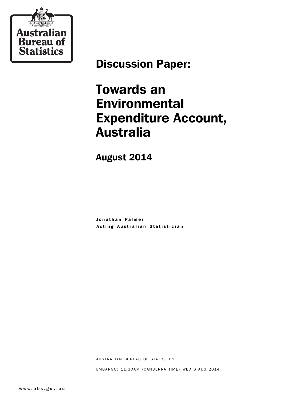

# Discussion Paper:

# Towards an Environmental Expenditure Account, Australia

August 2014

Jonathan Palmer Acting Australian Statistician

AUSTRALIAN BUREAU OF STATISTICS

EMBARGO: 11.30AM (CANBERRA TIME) WED 6 AUG 2014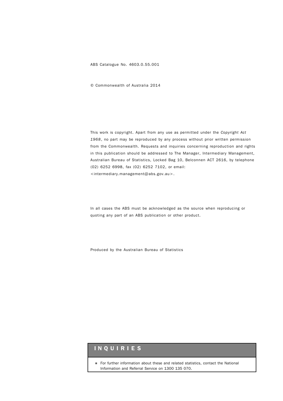ABS Catalogue No. 4603.0.55.001

© Commonwealth of Australia 2014

This work is copyright. Apart from any use as permitted under the *Copyright Act 1968*, no part may be reproduced by any process without prior written permission from the Commonwealth. Requests and inquiries concerning reproduction and rights in this publication should be addressed to The Manager, Intermediary Management, Australian Bureau of Statistics, Locked Bag 10, Belconnen ACT 2616, by telephone (02) 6252 6998, fax (02) 6252 7102, or email: <intermediary.management@abs.gov.au>.

In all cases the ABS must be acknowledged as the source when reproducing or quoting any part of an ABS publication or other product.

Produced by the Australian Bureau of Statistics

## INQUIRIES

! For further information about these and related statistics, contact the National Information and Referral Service on 1300 135 070.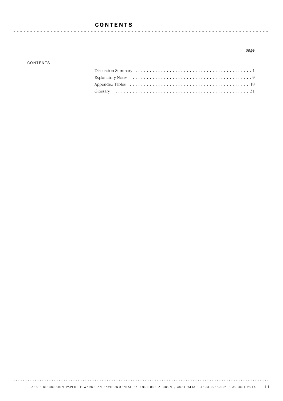## CONTENTS

### CONTENTS

## *page*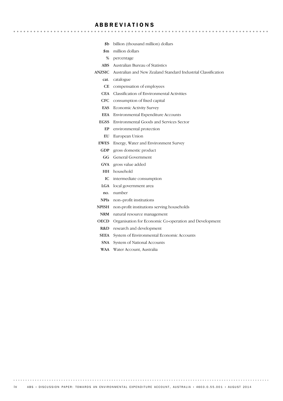## ABBREVIATIONS

- \$b billion (thousand million) dollars
- \$m million dollars
- % percentage
- ABS Australian Bureau of Statistics
- ANZSIC Australian and New Zealand Standard Industrial Classification

- cat. catalogue
- CE compensation of employees
- CEA Classification of Environmental Activities
- CFC consumption of fixed capital
- EAS Economic Activity Survey
- EEA Environmental Expenditure Accounts
- EGSS Environmental Goods and Services Sector
	- EP environmental protection
	- EU European Union
- EWES Energy, Water and Environment Survey
- GDP gross domestic product
- GG General Government
- GVA gross value added
- HH household
- IC intermediate consumption
- LGA local government area
- no. number
- NPIs non–profit institutions
- NPISH non-profit institutions serving households
	- NRM natural resource management
- OECD Organisation for Economic Co-operation and Development
	- R&D research and development
- SEEA System of Environmental Economic Accounts
- SNA System of National Accounts
- WAA Water Account, Australia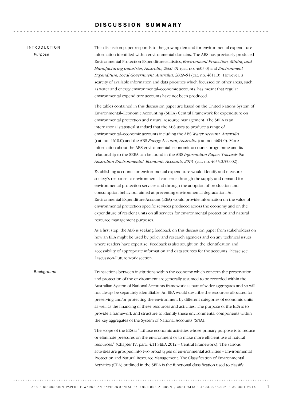## DISCUSSION SUMMARY

### INTRODUCTION

*Purpose*

This discussion paper responds to the growing demand for environmental expenditure information identified within environmental domains. The ABS has previously produced Environmental Protection Expenditure statistics, *Environment Protection, Mining and Manufacturing Industries, Australia, 2000–01* (cat. no. 4603.0) and *Environment Expenditure, Local Government, Australia, 2002–03* (cat. no. 4611.0). However, a scarcity of available information and data priorities which focussed on other areas, such as water and energy environmental–economic accounts, has meant that regular environmental expenditure accounts have not been produced.

The tables contained in this discussion paper are based on the United Nations System of Environmental–Economic Accounting (SEEA) Central Framework for expenditure on environmental protection and natural resource management. The SEEA is an international statistical standard that the ABS uses to produce a range of environmental–economic accounts including the ABS *Water Account, Australia* (cat. no. 4610.0) and the ABS *Energy Account, Australia* (cat. no. 4604.0). More information about the ABS environmental–economic accounts programme and its relationship to the SEEA can be found in the ABS *Information Paper: Towards the Australian Environmental–Economic Accounts, 2013* (cat. no. 4655.0.55.002).

Establishing accounts for environmental expenditure would identify and measure society's response to environmental concerns through the supply and demand for environmental protection services and through the adoption of production and consumption behaviour aimed at preventing environmental degradation. An Environmental Expenditure Account (EEA) would provide information on the value of environmental protection specific services produced across the economy and on the expenditure of resident units on all services for environmental protection and natural resource management purposes.

As a first step, the ABS is seeking feedback on this discussion paper from stakeholders on how an EEA might be used by policy and research agencies and on any technical issues where readers have expertise. Feedback is also sought on the identification and accessibility of appropriate information and data sources for the accounts. Please see Discussion/Future work section.

Transactions between institutions within the economy which concern the preservation and protection of the environment are generally assumed to be recorded within the Australian System of National Accounts framework as part of wider aggregates and so will not always be separately identifiable. An EEA would describe the resources allocated for preserving and/or protecting the environment by different categories of economic units as well as the financing of these resources and activities. The purpose of the EEA is to provide a framework and structure to identify these environmental components within the key aggregates of the System of National Accounts (SNA). *Background*

> The scope of the EEA is "...those economic activities whose primary purpose is to reduce or eliminate pressures on the environment or to make more efficient use of natural resources." (Chapter IV, para. 4.11 SEEA 2012 – Central Framework). The various activities are grouped into two broad types of environmental activities – Environmental Protection and Natural Resource Management. The Classification of Environmental Activities (CEA) outlined in the SEEA is the functional classification used to classify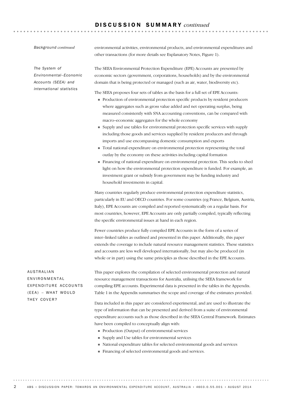## D I S C U S S I O N S U M M A R Y *continued*

### *Background continued*

*The System of Environmental–Economic Accounts (SEEA) and international statistics*

environmental activities, environmental products, and environmental expenditures and other transactions (for more details see Explanatory Notes, Figure 1).

The SEEA Environmental Protection Expenditure (EPE) Accounts are presented by economic sectors (government, corporations, households) and by the environmental domain that is being protected or managed (such as air, water, biodiversity etc).

The SEEA proposes four sets of tables as the basis for a full set of EPE Accounts:

- ! Production of environmental protection specific products by resident producers where aggregates such as gross value added and net operating surplus, being measured consistently with SNA accounting conventions, can be compared with macro–economic aggregates for the whole economy
- ! Supply and use tables for environmental protection specific services with supply including those goods and services supplied by resident producers and through imports and use encompassing domestic consumption and exports
- ! Total national expenditure on environmental protection representing the total outlay by the economy on these activities including capital formation
- ! Financing of national expenditure on environmental protection. This seeks to shed light on how the environmental protection expenditure is funded. For example, an investment grant or subsidy from government may be funding industry and household investments in capital.

Many countries regularly produce environmental protection expenditure statistics, particularly in EU and OECD countries. For some countries (eg France, Belgium, Austria, Italy), EPE Accounts are compiled and reported systematically on a regular basis. For most countries, however, EPE Accounts are only partially compiled, typically reflecting the specific environmental issues at hand in each region.

Fewer countries produce fully compiled EPE Accounts in the form of a series of inter–linked tables as outlined and presented in this paper. Additionally, this paper extends the coverage to include natural resource management statistics. These statistics and accounts are less well developed internationally, but may also be produced (in whole or in part) using the same principles as those described in the EPE Accounts.

AUSTRALIAN ENVIRONMENTAL EXPENDITURE ACCOUNTS  $(EEA) - WHAT WOULD$ THEY COVER?

This paper explores the compilation of selected environmental protection and natural resource management transactions for Australia, utilising the SEEA framework for compiling EPE accounts. Experimental data is presented in the tables in the Appendix. Table 1 in the Appendix summarises the scope and coverage of the estimates provided.

Data included in this paper are considered experimental, and are used to illustrate the type of information that can be presented and derived from a suite of environmental expenditure accounts such as those described in the SEEA Central Framework. Estimates have been compiled to conceptually align with:

- ! Production (Output) of environmental services
- ! Supply and Use tables for environmental services
- ! National expenditure tables for selected environmental goods and services
- ! Financing of selected environmental goods and services.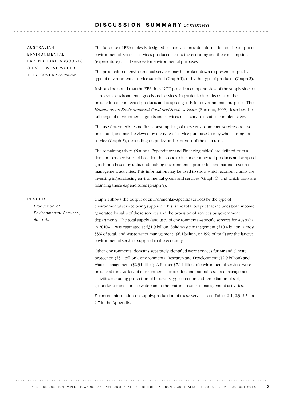## D I S C U S S I O N S U M M A R Y *continued*

| AUSTRALIAN<br>ENVIRONMENTAL<br>EXPENDITURE ACCOUNTS<br>(EEA) - WHAT WOULD | The full suite of EEA tables is designed primarily to provide information on the output of<br>environmental-specific services produced across the economy and the consumption<br>(expenditure) on all services for environmental purposes.                                                                                                                                                                                                                                                                                                                                                           |
|---------------------------------------------------------------------------|------------------------------------------------------------------------------------------------------------------------------------------------------------------------------------------------------------------------------------------------------------------------------------------------------------------------------------------------------------------------------------------------------------------------------------------------------------------------------------------------------------------------------------------------------------------------------------------------------|
| THEY COVER? continued                                                     | The production of environmental services may be broken down to present output by<br>type of environmental service supplied (Graph 1), or by the type of producer (Graph 2).                                                                                                                                                                                                                                                                                                                                                                                                                          |
|                                                                           | It should be noted that the EEA does NOT provide a complete view of the supply side for<br>all relevant environmental goods and services. In particular it omits data on the<br>production of connected products and adapted goods for environmental purposes. The<br>Handbook on Environmental Good and Services Sector (Eurostat, 2009) describes the<br>full range of environmental goods and services necessary to create a complete view.                                                                                                                                                       |
|                                                                           | The use (intermediate and final consumption) of these environmental services are also<br>presented, and may be viewed by the type of service purchased, or by who is using the<br>service (Graph 3), depending on policy or the interest of the data user.                                                                                                                                                                                                                                                                                                                                           |
|                                                                           | The remaining tables (National Expenditure and Financing tables) are defined from a<br>demand perspective, and broaden the scope to include connected products and adapted<br>goods purchased by units undertaking environmental protection and natural resource<br>management activities. This information may be used to show which economic units are<br>investing in/purchasing environmental goods and services (Graph 4), and which units are<br>financing these expenditures (Graph 5).                                                                                                       |
| <b>RESULTS</b><br>Production of<br>Environmental Services,<br>Australia   | Graph 1 shows the output of environmental-specific services by the type of<br>environmental service being supplied. This is the total output that includes both income<br>generated by sales of these services and the provision of services by government<br>departments. The total supply (and use) of environmental-specific services for Australia<br>in 2010–11 was estimated at \$31.9 billion. Solid waste management (\$10.4 billion, almost<br>33% of total) and Waste water management (\$6.1 billion, or 19% of total) are the largest<br>environmental services supplied to the economy. |
|                                                                           | Other environmental domains separately identified were services for Air and climate<br>protection (\$3.1 billion), environmental Research and Development (\$2.9 billion) and<br>Water management (\$2.3 billion). A further \$7.1 billion of environmental services were<br>produced for a variety of environmental protection and natural resource management<br>activities including protection of biodiversity; protection and remediation of soil,<br>groundwater and surface water; and other natural resource management activities.                                                          |
|                                                                           | For more information on supply/production of these services, see Tables 2.1, 2.3, 2.5 and<br>2.7 in the Appendix.                                                                                                                                                                                                                                                                                                                                                                                                                                                                                    |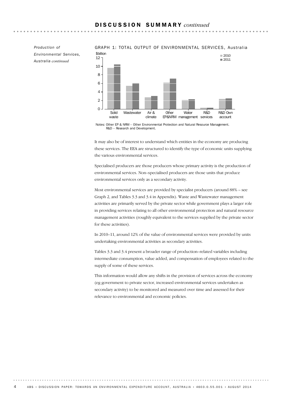*Environmental Services, Australia continued*

### *Production of* GRAPH 1: TOTAL OUTPUT OF ENVIRONMENTAL SERVICES, Australia



Notes: Other EP & NRM – Other Environmental Protection and Natural Resource Management. R&D – Research and Development.

It may also be of interest to understand which entities in the economy are producing these services. The EEA are structured to identify the type of economic units supplying the various environmental services.

Specialised producers are those producers whose primary activity is the production of environmental services. Non–specialised producers are those units that produce environmental services only as a secondary activity.

Most environmental services are provided by specialist producers (around 88% – see Graph 2, and Tables 3.3 and 3.4 in Appendix). Waste and Wastewater management activities are primarily served by the private sector while government plays a larger role in providing services relating to all other environmental protection and natural resource management activities (roughly equivalent to the services supplied by the private sector for these activities).

In 2010–11, around 12% of the value of environmental services were provided by units undertaking environmental activities as secondary activities.

Tables 3.3 and 3.4 present a broader range of production–related variables including intermediate consumption, value added, and compensation of employees related to the supply of some of these services.

This information would allow any shifts in the provision of services across the economy (eg government to private sector, increased environmental services undertaken as secondary activity) to be monitored and measured over time and assessed for their relevance to environmental and economic policies.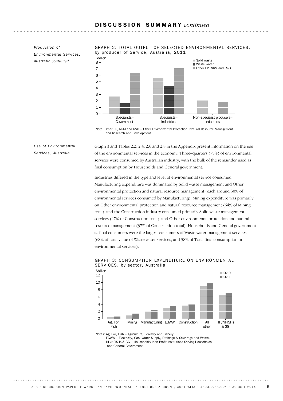*Production of Environmental Services, Australia continued*

GRAPH 2: TOTAL OUTPUT OF SELECTED ENVIRONMENTAL SERVICES, by producer of Service, Australia, 2011



Note: Other EP, NRM and R&D – Other Environmental Protection, Natural Resource Management and Research and Development.

*Use of Environmental Services, Australia*

Graph 3 and Tables 2.2, 2.4, 2.6 and 2.8 in the Appendix present information on the use of the environmental services in the economy. Three–quarters (75%) of environmental services were consumed by Australian industry, with the bulk of the remainder used as final consumption by Households and General government.

Industries differed in the type and level of environmental service consumed. Manufacturing expenditure was dominated by Solid waste management and Other environmental protection and natural resource management (each around 30% of environmental services consumed by Manufacturing). Mining expenditure was primarily on Other environmental protection and natural resource management (64% of Mining total), and the Construction industry consumed primarily Solid waste management services (47% of Construction total), and Other environmental protection and natural resource management (37% of Construction total). Households and General government as final consumers were the largest consumers of Waste water management services (68% of total value of Waste water services, and 58% of Total final consumption on environmental services).



GRAPH 3: CONSUMPTION EXPENDITURE ON ENVIRONMENTAL SERVICES, by sector, Australia

Notes: Ag, For, Fish – Agriculture, Forestry and Fishery.

EGWW – Electricity, Gas, Water Supply, Drainage & Sewerage and Waste. HH/NPISHs & GG – Households/ Non Profit Institutions Serving Households and General Government.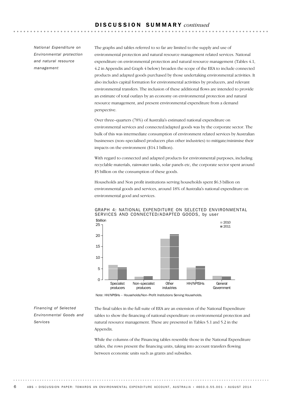*National Expenditure on Environmental protection and natural resource management*

The graphs and tables referred to so far are limited to the supply and use of environmental protection and natural resource management related services. National expenditure on environmental protection and natural resource management (Tables 4.1, 4.2 in Appendix and Graph 4 below) broaden the scope of the EEA to include connected products and adapted goods purchased by those undertaking environmental activities. It also includes capital formation for environmental activities by producers, and relevant environmental transfers. The inclusion of these additional flows are intended to provide an estimate of total outlays by an economy on environmental protection and natural resource management, and present environmental expenditure from a demand perspective.

Over three–quarters (78%) of Australia's estimated national expenditure on environmental services and connected/adapted goods was by the corporate sector. The bulk of this was intermediate consumption of environment related services by Australian businesses (non–specialised producers plus other industries) to mitigate/minimise their impacts on the environment (\$14.1 billion).

With regard to connected and adapted products for environmental purposes, including recyclable materials, rainwater tanks, solar panels etc, the corporate sector spent around \$5 billion on the consumption of these goods.

Households and Non profit institutions serving households spent \$6.3 billion on environmental goods and services, around 18% of Australia's national expenditure on environmental good and services.



GRAPH 4: NATIONAL EXPENDITURE ON SELECTED ENVIRONMENTAL SERVICES AND CONNECTED/ADAPTED GOODS, by user

Note: HH/NPISHs – Households/Non–Profit Institutions Serving Households.

*Financing of Selected Environmental Goods and Services*

The final tables in the full suite of EEA are an extension of the National Expenditure tables to show the financing of national expenditure on environmental protection and natural resource management. These are presented in Tables 5.1 and 5.2 in the Appendix.

While the columns of the Financing tables resemble those in the National Expenditure tables, the rows present the financing units, taking into account transfers flowing between economic units such as grants and subsidies.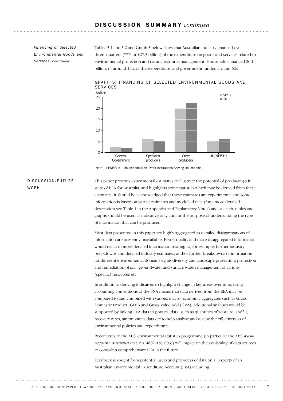*Financing of Selected Environmental Goods and Services continued*

Tables 5.1 and 5.2 and Graph 5 below show that Australian industry financed over three–quarters (77% or \$27.5 billion) of the expenditure on goods and services related to environmental protection and natural resource management. Households financed \$6.1 billion, or around 17% of this expenditure, and government funded around 6%.



GRAPH 5: FINANCING OF SELECTED ENVIRONMENTAL GOODS AND **SERVICES** 

Note: HH/NPISHs – Households/Non–Profit Institutions Serving Households.

### DISCUSSION/FUTURE WORK

This paper presents experimental estimates to illustrate the potential of producing a full suite of EEA for Australia, and highlights some statistics which may be derived from these estimates. It should be acknowledged that these estimates are experimental and some information is based on partial estimates and modelled data (for a more detailed description see Table 1 in the Appendix and Explanatory Notes) and, as such, tables and graphs should be used as indicative only and for the purpose of understanding the type of information that can be produced.

Most data presented in this paper are highly aggregated as detailed disaggregations of information are presently unavailable. Better quality and more disaggregated information would result in more detailed information relating to, for example, further industry breakdowns and detailed industry estimates, and/or further breakdowns of information for different environmental domains eg biodiversity and landscape protection; protection and remediation of soil, groundwater and surface water; management of various (specific) resources etc.

In addition to deriving indicators to highlight change in key areas over time, using accounting conventions of the SNA means that data derived from the EEA may be compared to and combined with various macro–economic aggregates such as Gross Domestic Product (GDP) and Gross Value Add (GVA). Additional analyses would be supported by linking EEA data to physical data, such as quantities of waste to landfill, recovery rates, air emissions data etc to help analyse and review the effectiveness of environmental policies and expenditures.

Recent cuts to the ABS' environmental statistics programme (in particular the ABS *Waste Account, Australia* (cat. no. 4602.0.55.006)) will impact on the availability of data sources to compile a comprehensive EEA in the future.

Feedback is sought from potential users and providers of data on all aspects of an Australian Environmental Expenditure Account (EEA) including: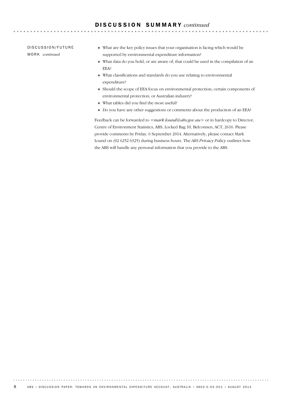DISCUSSION/FUTURE WO R K *continued*

- ! What are the key policy issues that your organisation is facing which would be supported by environmental expenditure information?
- ! What data do you hold, or are aware of, that could be used in the compilation of an EEA?

- ! What classifications and standards do you use relating to environmental expenditure?
- ! Should the scope of EEA focus on environmental protection; certain components of environmental protection; or Australian industry?
- ! What tables did you find the most useful?
- ! Do you have any other suggestions or comments about the production of an EEA?

Feedback can be forwarded to <*mark.lound@abs.gov.au*> or in hardcopy to Director, Centre of Environment Statistics, ABS, Locked Bag 10, Belconnen, ACT, 2616. Please provide comments by Friday, 6 September 2014. Alternatively, please contact Mark Lound on (02 6252 6325) during business hours. The *ABS Privacy Policy* outlines how the ABS will handle any personal information that you provide to the ABS.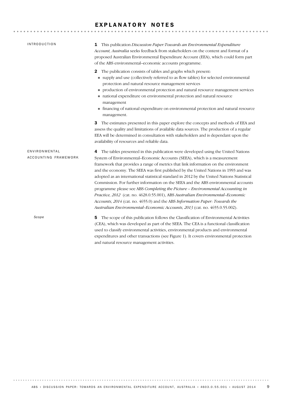## EXPLANATORY NOTES

. . . . . . .

| <b>INTRODUCTION</b>                   | This publication Discussion Paper: Towards an Environmental Expenditure<br>1<br>Account, Australia seeks feedback from stakeholders on the content and format of a<br>proposed Australian Environmental Expenditure Account (EEA), which could form part<br>of the ABS environmental-economic accounts programme.                                                                                                                                                                                                                                                                                                                                                                                                                                                                                                                                                   |
|---------------------------------------|---------------------------------------------------------------------------------------------------------------------------------------------------------------------------------------------------------------------------------------------------------------------------------------------------------------------------------------------------------------------------------------------------------------------------------------------------------------------------------------------------------------------------------------------------------------------------------------------------------------------------------------------------------------------------------------------------------------------------------------------------------------------------------------------------------------------------------------------------------------------|
|                                       | The publication consists of tables and graphs which present:<br>$\mathbf{2}$<br>supply and use (collectively referred to as flow tables) for selected environmental<br>protection and natural resource management services<br>production of environmental protection and natural resource management services<br>national expenditure on environmental protection and natural resource<br>management<br>• financing of national expenditure on environmental protection and natural resource<br>management.                                                                                                                                                                                                                                                                                                                                                         |
|                                       | The estimates presented in this paper explore the concepts and methods of EEA and<br>З<br>assess the quality and limitations of available data sources. The production of a regular<br>EEA will be determined in consultation with stakeholders and is dependant upon the<br>availability of resources and reliable data.                                                                                                                                                                                                                                                                                                                                                                                                                                                                                                                                           |
| ENVIRONMENTAL<br>ACCOUNTING FRAMEWORK | The tables presented in this publication were developed using the United Nations<br>4<br>System of Environmental-Economic Accounts (SEEA), which is a measurement<br>framework that provides a range of metrics that link information on the environment<br>and the economy. The SEEA was first published by the United Nations in 1993 and was<br>adopted as an international statistical standard in 2012 by the United Nations Statistical<br>Commission. For further information on the SEEA and the ABS environmental accounts<br>programme please see ABS Completing the Picture - Environmental Accounting in<br>Practice, 2012 (cat. no. 4628.0.55.001), ABS Australian Environmental-Economic<br>Accounts, 2014 (cat. no. 4655.0) and the ABS Information Paper: Towards the<br>Australian Environmental-Economic Accounts, 2013 (cat. no. 4655.0.55.002). |
| Scope                                 | The scope of this publication follows the Classification of Environmental Activities<br>5<br>(CEA), which was developed as part of the SEEA. The CEA is a functional classification                                                                                                                                                                                                                                                                                                                                                                                                                                                                                                                                                                                                                                                                                 |

and natural resource management activities.

. . . . . .

used to classify environmental activities, environmental products and environmental expenditures and other transactions (see Figure 1). It covers environmental protection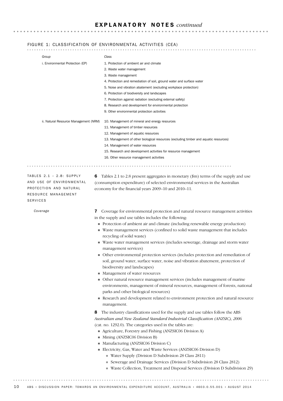### FIGURE 1: CLASSIFICATION OF ENVIRONMENTAL ACTIVITIES (CEA)

| Group                                  |                                                                                        | Class                                                                                                                                                                                                                               |  |  |  |  |  |
|----------------------------------------|----------------------------------------------------------------------------------------|-------------------------------------------------------------------------------------------------------------------------------------------------------------------------------------------------------------------------------------|--|--|--|--|--|
|                                        | i. Environmental Protection (EP)                                                       | 1. Protection of ambient air and climate                                                                                                                                                                                            |  |  |  |  |  |
|                                        |                                                                                        | 2. Waste water management                                                                                                                                                                                                           |  |  |  |  |  |
|                                        |                                                                                        | 3. Waste management                                                                                                                                                                                                                 |  |  |  |  |  |
|                                        |                                                                                        | 4. Protection and remediation of soil, ground water and surface water                                                                                                                                                               |  |  |  |  |  |
|                                        |                                                                                        | 5. Noise and vibration abatement (excluding workplace protection)                                                                                                                                                                   |  |  |  |  |  |
|                                        |                                                                                        | 6. Protection of biodiversity and landscapes                                                                                                                                                                                        |  |  |  |  |  |
|                                        |                                                                                        | 7. Protection against radiation (excluding external safety)                                                                                                                                                                         |  |  |  |  |  |
|                                        |                                                                                        | 8. Research and development for environmental protection                                                                                                                                                                            |  |  |  |  |  |
|                                        |                                                                                        | 9. Other environmental protection activities                                                                                                                                                                                        |  |  |  |  |  |
| ii. Natural Resource Management (NRM)  |                                                                                        | 10. Management of mineral and energy resources                                                                                                                                                                                      |  |  |  |  |  |
|                                        |                                                                                        | 11. Management of timber resources                                                                                                                                                                                                  |  |  |  |  |  |
|                                        |                                                                                        | 12. Management of aquatic resources                                                                                                                                                                                                 |  |  |  |  |  |
|                                        |                                                                                        | 13. Management of other biological resources (excluding timber and aquatic resources)                                                                                                                                               |  |  |  |  |  |
|                                        |                                                                                        | 14. Management of water resources                                                                                                                                                                                                   |  |  |  |  |  |
|                                        |                                                                                        | 15. Research and development activities for resource management                                                                                                                                                                     |  |  |  |  |  |
|                                        |                                                                                        | 16. Other resource management activities                                                                                                                                                                                            |  |  |  |  |  |
|                                        |                                                                                        |                                                                                                                                                                                                                                     |  |  |  |  |  |
|                                        | TABLES $2.1 - 2.8$ : SUPPLY<br>6<br>AND USE OF ENVIRONMENTAL<br>PROTECTION AND NATURAL | Tables 2.1 to 2.8 present aggregates in monetary $(\text{m})$ terms of the supply and use<br>(consumption expenditure) of selected environmental services in the Australian<br>economy for the financial years 2009–10 and 2010–11. |  |  |  |  |  |
| RESOURCE MANAGEMENT<br><b>SERVICES</b> |                                                                                        |                                                                                                                                                                                                                                     |  |  |  |  |  |

*Coverage*

7 Coverage for environmental protection and natural resource management activities in the supply and use tables includes the following:

- ! Protection of ambient air and climate (including renewable energy production)
- ! Waste management services (confined to solid waste management that includes recycling of solid waste)
- ! Waste water management services (includes sewerage, drainage and storm water management services)
- ! Other environmental protection services (includes protection and remediation of soil, ground water, surface water, noise and vibration abatement, protection of biodiversity and landscapes)
- ! Management of water resources
- ! Other natural resource management services (includes management of marine environments, management of mineral resources, management of forests, national parks and other biological resources)
- ! Research and development related to environment protection and natural resource management.

8 The industry classifications used for the supply and use tables follow the ABS *Australian and New Zealand Standard Industrial Classification (ANZSIC), 2006* (cat. no. 1292.0). The categories used in the tables are:

- ! Agriculture, Forestry and Fishing (ANZSIC06 Division A)
- ! Mining (ANZSIC06 Division B)
- ! Manufacturing (ANZSIC06 Division C)
- ! Electricity, Gas, Water and Waste Services (ANZSIC06 Division D)
	- ! Water Supply (Division D Subdivision 28 Class 2811)
	- ! Sewerage and Drainage Services (Division D Subdivision 28 Class 2812)

! Waste Collection, Treatment and Disposal Services (Division D Subdivision 29)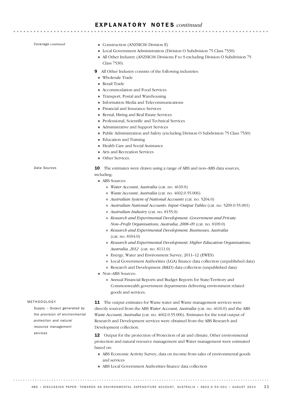*Coverage continued*

- **Construction (ANZSIC06 Division E)**
- ! Local Government Administration (Division O Subdivision 75 Class 7530)
- ! All Other Industry (ANZSIC06 Divisions F to S excluding Division O Subdivision 75 Class 7530).

**\*\*\*\*\*\*\*\*\*\*\*\*\*** 

- 9 All Other Industry consists of the following industries:
- ! Wholesale Trade
- **Retail Trade**
- ! Accommodation and Food Services
- ! Transport, Postal and Warehousing
- ! Information Media and Telecommunications
- ! Financial and Insurance Services
- ! Rental, Hiring and Real Estate Services
- ! Professional, Scientific and Technical Services
- ! Administrative and Support Services
- ! Public Administration and Safety (excluding Division O Subdivision 75 Class 7530)
- **Education and Training**
- ! Health Care and Social Assistance
- ! Arts and Recreation Services
- **Deservices**

*Data Sources*

10 The estimates were drawn using a range of ABS and non–ABS data sources,

including:

- ABS Sources:
	- ! *Water Account, Australia* (cat. no. 4610.0)
	- ! *Waste Account, Australia* (cat. no. 4602.0.55.006)
	- ! *Australian System of National Accounts* (cat. no. 5204.0)
	- ! *Australian National Accounts: Input–Output Tables* (cat. no. 5209.0.55.001)
	- ! *Australian Industry* (cat. no. 8155.0)
	- ! *Research and Experimental Development, Government and Private Non–Profit Organisations, Australia, 2008–09* (cat. no. 8109.0)
	- ! *Research and Experimental Development, Businesses, Australia* (cat. no. 8104.0)
	- ! *Research and Experimental Development, Higher Education Organisations, Australia, 2012* (cat. no. 8111.0)
	- ! Energy, Water and Environment Survey, 2011–12 (EWES)
	- ! Local Government Authorities (LGA) finance data collection (unpublished data)
	- ! Research and Development (R&D) data collection (unpublished data)
- Non–ABS Sources:
	- ! Annual Financial Reports and Budget Reports for State/Territory and Commonwealth government departments delivering environment related goods and services.

### METHODOLOGY

*Supply – Output generated by the provision of environmental protection and natural resource management services*

11 The output estimates for Waste water and Waste management services were directly sourced from the ABS *Water Account, Australia* (cat. no. 4610.0) and the ABS *Waste Account, Australia* (cat. no. 4602.0.55.006). Estimates for the total output of Research and Development services were obtained from the ABS Research and Development collection.

12 Output for the protection of Protection of air and climate, Other environmental protection and natural resource management and Water management were estimated based on:

- ! ABS Economic Activity Survey, data on income from sales of environmental goods and services
- ! ABS Local Government Authorities finance data collection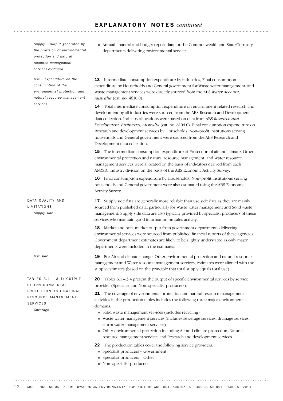*Supply – Output generated by the provision of environmental protection and natural resource management services continued*

*Use – Expenditure on the consumption of the environmental protection and natural resource management services*

DATA QUALITY AND LIMITATIONS *Supply side*

*Use side*

TABLES  $3.1 - 3.4$  : OUTPUT OF ENVIRONMENTAL PROTECTION AND NATURAL RESOURCE MANAGEMENT SERVICES *Coverage*

! Annual financial and budget report data for the Commonwealth and State/Territory departments delivering environmental services.

. . . . . . . . . . . . . . . . . .

13 Intermediate consumption expenditure by industries, Final consumption expenditure by Households and General government for Waste water management, and Waste management services were directly sourced from the ABS *Water Account, Australia* (cat. no. 4610.0).

14 Total intermediate consumption expenditure on environment related research and development by all industries were sourced from the ABS Research and Development data collection. Industry allocations were based on data from ABS *Research and Development, Businesses, Australia* (cat. no. 8104.0). Final consumption expenditure on Research and development services by Households, Non–profit institutions serving households and General government were sourced from the ABS Research and Development data collection.

15 The intermediate consumption expenditure of Protection of air and climate, Other environmental protection and natural resource management, and Water resource management services were allocated on the basis of indicators derived from each ANZSIC industry division on the basis of the ABS Economic Activity Survey.

16 Final consumption expenditure by Households, Non–profit institutions serving households and General government were also estimated using the ABS Economic Activity Survey.

17 Supply side data are generally more reliable than use side data as they are mainly sourced from published data, particularly for Waste water management and Solid waste management. Supply side data are also typically provided by specialist producers of these services who maintain good information on sales activity.

18 Market and non–market output from government departments delivering environmental services were sourced from published financial reports of these agencies. Government department estimates are likely to be slightly understated as only major departments were included in the estimates.

19 For Air and climate change, Other environmental protection and natural resource management and Water resource management services, estimates were aligned with the supply estimates (based on the principle that total supply equals total use).

20 Tables  $3.1 - 3.4$  present the output of specific environmental services by service provider (Specialist and Non–specialist producers).

21 The coverage of environmental protection and natural resource management activities in the production tables includes the following three major environmental domains:

- ! Solid waste management services (includes recycling)
- ! Waste water management services (includes sewerage services, drainage services, storm water management services)
- ! Other environmental protection including Air and climate protection, Natural resource management services and Research and development services.
- 22 The production tables cover the following service providers:
	- ! Specialist producers Government
	- ! Specialist producers Other
	- ! Non–specialist producers.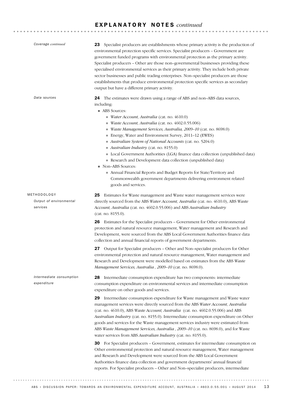| Coverage continued                                 | 23 Specialist producers are establishments whose primary activity is the production of<br>environmental protection specific services. Specialist producers - Government are<br>government funded programs with environmental protection as the primary activity.<br>Specialist producers - Other are those non-governmental businesses providing these<br>specialised environmental services as their primary activity. They include both private<br>sector businesses and public trading enterprises. Non-specialist producers are those<br>establishments that produce environmental protection specific services as secondary<br>output but have a different primary activity.                                                                                                                                                                                                                                                                                                                                                                                                                                                                                                                                                           |
|----------------------------------------------------|---------------------------------------------------------------------------------------------------------------------------------------------------------------------------------------------------------------------------------------------------------------------------------------------------------------------------------------------------------------------------------------------------------------------------------------------------------------------------------------------------------------------------------------------------------------------------------------------------------------------------------------------------------------------------------------------------------------------------------------------------------------------------------------------------------------------------------------------------------------------------------------------------------------------------------------------------------------------------------------------------------------------------------------------------------------------------------------------------------------------------------------------------------------------------------------------------------------------------------------------|
| Data sources                                       | The estimates were drawn using a range of ABS and non-ABS data sources,<br>24<br>including:<br>ABS Sources:<br>Water Account, Australia (cat. no. 4610.0)<br>Waste Account, Australia (cat. no. 4602.0.55.006)<br>Waste Management Services, Australia, 2009-10 (cat. no. 8698.0)<br>Energy, Water and Environment Survey, 2011-12 (EWES)<br>Australian System of National Accounts (cat. no. 5204.0)<br>Australian Industry (cat. no. 8155.0)<br>Local Government Authorities (LGA) finance data collection (unpublished data)<br>Research and Development data collection (unpublished data)<br>Non-ABS Sources:<br>Annual Financial Reports and Budget Reports for State/Territory and<br>Commonwealth government departments delivering environment related<br>goods and services.                                                                                                                                                                                                                                                                                                                                                                                                                                                      |
| METHODOLOGY<br>Output of environmental<br>services | <b>25</b> Estimates for Waste management and Waste water management services were<br>directly sourced from the ABS Water Account, Australia (cat. no. 4610.0), ABS Waste<br>Account, Australia (cat. no. 4602.0.55.006) and ABS Australian Industry<br>(cat. no. 8155.0).<br>26 Estimates for the Specialist producers – Government for Other environmental<br>protection and natural resource management, Water management and Research and<br>Development, were sourced from the ABS Local Government Authorities finance data<br>collection and annual financial reports of government departments.                                                                                                                                                                                                                                                                                                                                                                                                                                                                                                                                                                                                                                      |
|                                                    | Output for Specialist producers – Other and Non–specialist producers for Other<br>27<br>environmental protection and natural resource management, Water management and<br>Research and Development were modelled based on estimates from the ABS Waste<br>Management Services, Australia, 2009-10 (cat. no. 8698.0).                                                                                                                                                                                                                                                                                                                                                                                                                                                                                                                                                                                                                                                                                                                                                                                                                                                                                                                        |
| Intermediate consumption<br>expenditure            | 28 Intermediate consumption expenditure has two components: intermediate<br>consumption expenditure on environmental services and intermediate consumption<br>expenditure on other goods and services.<br>29 Intermediate consumption expenditure for Waste management and Waste water<br>management services were directly sourced from the ABS Water Account, Australia<br>(cat. no. 4610.0), ABS Waste Account, Australia (cat. no. 4602.0.55.006) and ABS<br>Australian Industry (cat. no. 8155.0). Intermediate consumption expenditure on Other<br>goods and services for the Waste management services industry were estimated from<br>ABS Waste Management Services, Australia, 2009-10 (cat. no. 8698.0), and for Waste<br>water services from ABS Australian Industry (cat. no. 8155.0).<br><b>30</b> For Specialist producers – Government, estimates for intermediate consumption on<br>Other environmental protection and natural resource management, Water management<br>and Research and Development were sourced from the ABS Local Government<br>Authorities finance data collection and government departments' annual financial<br>reports. For Specialist producers - Other and Non-specialist producers, intermediate |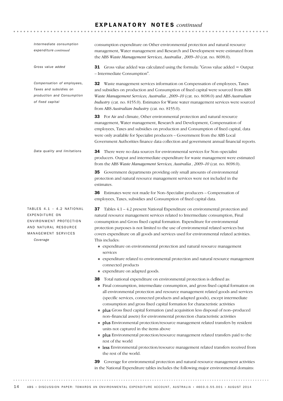| Intermediate consumption<br>expenditure continued                                                                                  | consumption expenditure on Other environmental protection and natural resource<br>management, Water management and Research and Development were estimated from<br>the ABS Waste Management Services, Australia, 2009-10 (cat. no. 8698.0).                                                                                                                                                                                                                                                                                                                                                                                                                                                                                                                                                                                                                                                                                                                                                                                                                                                                                                 |
|------------------------------------------------------------------------------------------------------------------------------------|---------------------------------------------------------------------------------------------------------------------------------------------------------------------------------------------------------------------------------------------------------------------------------------------------------------------------------------------------------------------------------------------------------------------------------------------------------------------------------------------------------------------------------------------------------------------------------------------------------------------------------------------------------------------------------------------------------------------------------------------------------------------------------------------------------------------------------------------------------------------------------------------------------------------------------------------------------------------------------------------------------------------------------------------------------------------------------------------------------------------------------------------|
| Gross value added                                                                                                                  | <b>31</b> Gross value added was calculated using the formula: "Gross value added = Output<br>- Intermediate Consumption".                                                                                                                                                                                                                                                                                                                                                                                                                                                                                                                                                                                                                                                                                                                                                                                                                                                                                                                                                                                                                   |
| Compensation of employees,<br>Taxes and subsidies on<br>production and Consumption<br>of fixed capital                             | <b>32</b> Waste management services information on Compensation of employees, Taxes<br>and subsidies on production and Consumption of fixed capital were sourced from ABS<br>Waste Management Services, Australia, 2009-10 (cat. no. 8698.0) and ABS Australian<br><i>Industry</i> (cat. no. 8155.0). Estimates for Waste water management services were sourced<br>from ABS Australian Industry (cat. no. 8155.0).                                                                                                                                                                                                                                                                                                                                                                                                                                                                                                                                                                                                                                                                                                                         |
|                                                                                                                                    | 33 For Air and climate, Other environmental protection and natural resource<br>management, Water management, Research and Development, Compensation of<br>employees, Taxes and subsidies on production and Consumption of fixed capital, data<br>were only available for Specialist producers - Government from the ABS Local<br>Government Authorities finance data collection and government annual financial reports.                                                                                                                                                                                                                                                                                                                                                                                                                                                                                                                                                                                                                                                                                                                    |
| Data quality and limitations                                                                                                       | 34 There were no data sources for environmental services for Non-specialist<br>producers. Output and intermediate expenditure for waste management were estimated<br>from the ABS Waste Management Services, Australia, 2009-10 (cat. no. 8698.0).                                                                                                                                                                                                                                                                                                                                                                                                                                                                                                                                                                                                                                                                                                                                                                                                                                                                                          |
|                                                                                                                                    | 35 Government departments providing only small amounts of environmental<br>protection and natural resource management services were not included in the<br>estimates.                                                                                                                                                                                                                                                                                                                                                                                                                                                                                                                                                                                                                                                                                                                                                                                                                                                                                                                                                                       |
|                                                                                                                                    | 36 Estimates were not made for Non-Specialist producers - Compensation of<br>employees, Taxes, subsidies and Consumption of fixed capital data.                                                                                                                                                                                                                                                                                                                                                                                                                                                                                                                                                                                                                                                                                                                                                                                                                                                                                                                                                                                             |
| TABLES $4.1 - 4.2$ NATIONAL<br>EXPENDITURE ON<br>ENVIRONMENT PROTECTION<br>AND NATURAL RESOURCE<br>MANAGEMENT SERVICES<br>Coverage | 37 Tables 4.1 – 4.2 present National Expenditure on environmental protection and<br>natural resource management services related to Intermediate consumption, Final<br>consumption and Gross fixed capital formation. Expenditure for environmental<br>protection purposes is not limited to the use of environmental related services but<br>covers expenditure on all goods and services used for environmental related activities.<br>This includes:<br>• expenditure on environmental protection and natural resource management<br>services<br>• expenditure related to environmental protection and natural resource management<br>connected products<br>• expenditure on adapted goods.                                                                                                                                                                                                                                                                                                                                                                                                                                              |
|                                                                                                                                    | Total national expenditure on environmental protection is defined as:<br>38<br>Final consumption, intermediate consumption, and gross fixed capital formation on<br>all environmental protection and resource management related goods and services<br>(specific services, connected products and adapted goods), except intermediate<br>consumption and gross fixed capital formation for characteristic activities<br>plus Gross fixed capital formation (and acquisition less disposal of non-produced<br>non-financial assets) for environmental protection characteristic activities<br>• plus Environmental protection/resource management related transfers by resident<br>units not captured in the items above<br><b>plus</b> Environmental protection/resource management related transfers paid to the<br>rest of the world<br>• less Environmental protection/resource management related transfers received from<br>the rest of the world.<br>Coverage for environmental protection and natural resource management activities<br>39<br>in the National Expenditure tables includes the following major environmental domains: |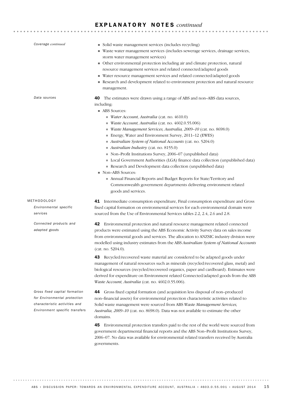| Coverage continued                                                                                                               | • Solid waste management services (includes recycling)<br>Waste water management services (includes sewerage services, drainage services,<br>storm water management services)<br>• Other environmental protection including air and climate protection, natural<br>resource management services and related connected/adapted goods<br>Water resource management services and related connected/adapted goods<br>Research and development related to environment protection and natural resource<br>management.                                                                                                                                                                                                                                                                                                                                                     |
|----------------------------------------------------------------------------------------------------------------------------------|---------------------------------------------------------------------------------------------------------------------------------------------------------------------------------------------------------------------------------------------------------------------------------------------------------------------------------------------------------------------------------------------------------------------------------------------------------------------------------------------------------------------------------------------------------------------------------------------------------------------------------------------------------------------------------------------------------------------------------------------------------------------------------------------------------------------------------------------------------------------|
| Data sources                                                                                                                     | The estimates were drawn using a range of ABS and non-ABS data sources,<br>40<br>including:<br>ABS Sources:<br>$\blacksquare$ Water Account, Australia (cat. no. 4610.0)<br>Waste Account, Australia (cat. no. 4602.0.55.006)<br>Waste Management Services, Australia, 2009-10 (cat. no. 8698.0)<br>Energy, Water and Environment Survey, 2011-12 (EWES)<br>Australian System of National Accounts (cat. no. 5204.0)<br>Australian Industry (cat. no. 8155.0)<br>Non-Profit Institutions Survey, 2006-07 (unpublished data)<br>Local Government Authorities (LGA) finance data collection (unpublished data)<br>Research and Development data collection (unpublished data)<br>Non-ABS Sources:<br>Annual Financial Reports and Budget Reports for State/Territory and<br>Commonwealth government departments delivering environment related<br>goods and services. |
| METHODOLOGY<br>Environmental specific<br>services                                                                                | Intermediate consumption expenditure, Final consumption expenditure and Gross<br>41<br>fixed capital formation on environmental services for each environmental domain were<br>sourced from the Use of Environmental Services tables 2.2, 2.4, 2.6 and 2.8.                                                                                                                                                                                                                                                                                                                                                                                                                                                                                                                                                                                                         |
| Connected products and<br>adapted goods                                                                                          | Environmental protection and natural resource management related connected<br>42<br>products were estimated using the ABS Economic Activity Survey data on sales income<br>from environmental goods and services. The allocation to ANZSIC industry division were<br>modelled using industry estimates from the ABS Australian System of National Accounts<br>(cat. no. 5204.0).                                                                                                                                                                                                                                                                                                                                                                                                                                                                                    |
|                                                                                                                                  | 43 Recycled/recovered waste material are considered to be adapted goods under<br>management of natural resources such as minerals (recycled/recovered glass, metal) and<br>biological resources (recycled/recovered organics, paper and cardboard). Estimates were<br>derived for expenditure on Environment related Connected/adapted goods from the ABS<br>Waste Account, Australia (cat. no. 4602.0.55.006).                                                                                                                                                                                                                                                                                                                                                                                                                                                     |
| Gross fixed capital formation<br>for Environmental protection<br>characteristic activities and<br>Environment specific transfers | Gross fixed capital formation (and acquisition less disposal of non-produced<br>44<br>non-financial assets) for environmental protection characteristic activities related to<br>Solid waste management were sourced from ABS Waste Management Services,<br>Australia, 2009-10 (cat. no. 8698.0). Data was not available to estimate the other<br>domains.                                                                                                                                                                                                                                                                                                                                                                                                                                                                                                          |
|                                                                                                                                  | Environmental protection transfers paid to the rest of the world were sourced from<br>45                                                                                                                                                                                                                                                                                                                                                                                                                                                                                                                                                                                                                                                                                                                                                                            |

government departmental financial reports and the ABS Non–Profit Institutions Survey, 2006–07. No data was available for environmental related transfers received by Australia governments.

. . . . . . .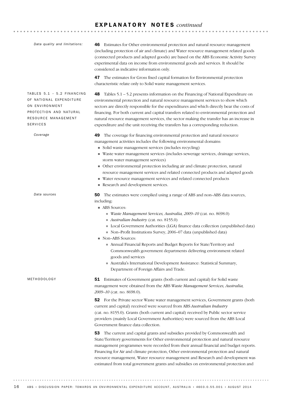51 Estimates of Government grants (both current and capital) for Solid waste management were obtained from the ABS *Waste Management Services, Australia, 2009–10* (cat. no. 8698.0). 52 For the Private sector Waste water management services, Government grants (both current and capital) received were sourced from ABS *Australian Industry* (cat. no. 8155.0). Grants (both current and capital) received by Public sector service providers (mainly Local Government Authorities) were sourced from the ABS Local Government finance data collection. 53 The current and capital grants and subsidies provided by Commonwealth and State/Territory governments for Other environmental protection and natural resource management programmes were recorded from their annual financial and budget reports. Financing for Air and climate protection, Other environmental protection and natural METHODOLOGY 50 The estimates were complied using a range of ABS and non–ABS data sources, including: ■ ABS Sources: ! *Waste Management Services, Australia, 2009–10* (cat. no. 8698.0) ! *Australian Industry* (cat. no. 8155.0) ! Local Government Authorities (LGA) finance data collection (unpublished data) ! Non–Profit Institutions Survey, 2006–07 data (unpublished data) ■ Non–ABS Sources: ! Annual Financial Reports and Budget Reports for State/Territory and Commonwealth government departments delivering environment related goods and services ! Australia's International Development Assistance: Statistical Summary, Department of Foreign Affairs and Trade. *Data sources* 49 The coverage for financing environmental protection and natural resource management activities includes the following environmental domains: ! Solid waste management services (includes recycling) ! Waste water management services (includes sewerage services, drainage services, storm water management services) ! Other environmental protection including air and climate protection, natural resource management services and related connected products and adapted goods ! Water resource management services and related connected products Research and development services. *Coverage* 48 Tables 5.1 – 5.2 presents information on the Financing of National Expenditure on environmental protection and natural resource management services to show which sectors are directly responsible for the expenditures and which directly bear the costs of financing. For both current and capital transfers related to environmental protection and natural resource management services, the sector making the transfer has an increase in expenditure and the unit receiving the transfers has a corresponding reduction. TABLES  $5.1 - 5.2$  FINANCING OF NATIONAL EXPENDITURE ON ENVIRONMENT PROTECTION AND NATURAL RESOURCE MANAGEMENT SERVICES 46 Estimates for Other environmental protection and natural resource management (including protection of air and climate) and Water resource management related goods (connected products and adapted goods) are based on the ABS Economic Activity Survey experimental data on income from environmental goods and services. It should be considered as indicative information only. 47 The estimates for Gross fixed capital formation for Environmental protection characteristic relate only to Solid waste management services. *Data quality and limitations:*

resource management, Water resource management and Research and development was estimated from total government grants and subsidies on environmental protection and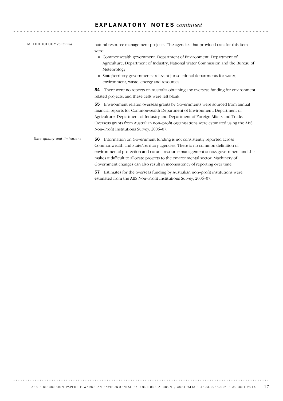**\*\*\*\*\*\*\*\*\*\*\*\*\*\*\*\*\*\*\*\*\*\***\*

METHODOLOGY *continued*

natural resource management projects. The agencies that provided data for this item were:

- ! Commonwealth government: Department of Environment, Department of Agriculture, Department of Industry, National Water Commission and the Bureau of Meteorology.
- ! State/territory governments: relevant jurisdictional departments for water, environment, waste, energy and resources.

54 There were no reports on Australia obtaining any overseas funding for environment related projects, and these cells were left blank.

55 Environment related overseas grants by Governments were sourced from annual financial reports for Commonwealth Department of Environment, Department of Agriculture, Department of Industry and Department of Foreign Affairs and Trade. Overseas grants from Australian non–profit organisations were estimated using the ABS Non–Profit Institutions Survey, 2006–07.

56 Information on Government funding is not consistently reported across Commonwealth and State/Territory agencies. There is no common definition of environmental protection and natural resource management across government and this makes it difficult to allocate projects to the environmental sector. Machinery of Government changes can also result in inconsistency of reporting over time. *Data quality and limitations*

> 57 Estimates for the overseas funding by Australian non–profit institutions were estimated from the ABS Non–Profit Institutions Survey, 2006–07.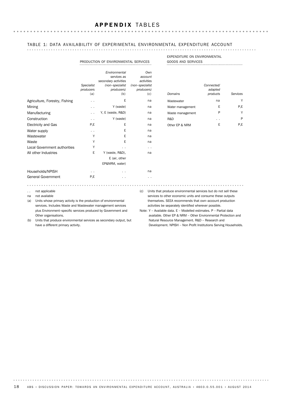### TABLE 1: DATA AVAILABILITY OF EXPERIMENTAL ENVIRONMENTAL EXPENDITURE ACCOUNT . . . . . . . . . . .

|                                                                                                                                                                                                               | PRODUCTION OF ENVIRONMENTAL SERVICES |                                                                                              |                                                        |               | <b>EXPENDITURE ON ENVIRONMENTAL</b><br><b>GOODS AND SERVICES</b>                                                                                                                                                                                   |                                   |          |  |
|---------------------------------------------------------------------------------------------------------------------------------------------------------------------------------------------------------------|--------------------------------------|----------------------------------------------------------------------------------------------|--------------------------------------------------------|---------------|----------------------------------------------------------------------------------------------------------------------------------------------------------------------------------------------------------------------------------------------------|-----------------------------------|----------|--|
|                                                                                                                                                                                                               | Specialist<br>producers<br>(a)       | Environmental<br>services as<br>secondary activities<br>(non-specialist<br>producers)<br>(b) | account<br>activities<br>(non-specialist<br>producers) | Own<br>(c)    | Domains                                                                                                                                                                                                                                            | Connected/<br>adapted<br>products | Services |  |
| Agriculture, Forestry, Fishing                                                                                                                                                                                | . .                                  | Ε                                                                                            |                                                        | na            | Wastewater                                                                                                                                                                                                                                         | na                                | Y        |  |
| Mining                                                                                                                                                                                                        |                                      | Y (waste)                                                                                    |                                                        | na            | Water management                                                                                                                                                                                                                                   | Ε                                 | P,E      |  |
| Manufacturing                                                                                                                                                                                                 | $\cdot$ .                            | Y, E (waste, R&D)                                                                            |                                                        | na            | Waste management                                                                                                                                                                                                                                   | P                                 | Y        |  |
| Construction                                                                                                                                                                                                  | . .                                  | Y (waste)                                                                                    |                                                        | na            | R&D                                                                                                                                                                                                                                                | . .                               | P        |  |
| <b>Electricity and Gas</b>                                                                                                                                                                                    | P.E                                  | Ε                                                                                            |                                                        | na            | Other EP & NRM                                                                                                                                                                                                                                     | E                                 | P.E      |  |
| Water supply                                                                                                                                                                                                  | $\sim$                               | Е                                                                                            |                                                        | na            |                                                                                                                                                                                                                                                    |                                   |          |  |
| Wastewater                                                                                                                                                                                                    | Y                                    | Ε                                                                                            |                                                        | na            |                                                                                                                                                                                                                                                    |                                   |          |  |
| Waste                                                                                                                                                                                                         | Υ                                    | E                                                                                            |                                                        | na            |                                                                                                                                                                                                                                                    |                                   |          |  |
| Local Government authorities                                                                                                                                                                                  | Υ                                    | $\ddot{\phantom{1}}$                                                                         |                                                        | $\sim$ $\sim$ |                                                                                                                                                                                                                                                    |                                   |          |  |
| All other Industries                                                                                                                                                                                          | E                                    | Y (waste, R&D),                                                                              |                                                        | na            |                                                                                                                                                                                                                                                    |                                   |          |  |
|                                                                                                                                                                                                               |                                      | E (air, other                                                                                |                                                        |               |                                                                                                                                                                                                                                                    |                                   |          |  |
|                                                                                                                                                                                                               |                                      | EP&NRM, water)                                                                               |                                                        |               |                                                                                                                                                                                                                                                    |                                   |          |  |
| Households/NPISH                                                                                                                                                                                              | $\sim$ $\sim$                        | $\sim$                                                                                       |                                                        | na            |                                                                                                                                                                                                                                                    |                                   |          |  |
| <b>General Government</b>                                                                                                                                                                                     | P.E                                  | $\sim$                                                                                       |                                                        | $\sim$        |                                                                                                                                                                                                                                                    |                                   |          |  |
|                                                                                                                                                                                                               |                                      |                                                                                              |                                                        |               |                                                                                                                                                                                                                                                    |                                   |          |  |
| not applicable<br>(c)<br>$\ddot{\phantom{0}}$<br>not available<br>na<br>Units whose primary activity is the production of environmental<br>(a)<br>services. Includes Waste and Wastewater management services |                                      |                                                                                              |                                                        |               | Units that produce environmental services but do not sell these<br>services to other economic units and consume these outputs<br>themselves. SEEA recommends that own-account production<br>activities be separately identified wherever possible. |                                   |          |  |

plus Environment–specific services produced by Government and Other organisations.

Note: Y – Available data. E – Modelled estimates. P – Partial data available. Other EP & NRM – Other Environmental Protection and Natural Resource Management. R&D – Research and Development. NPISH – Non Profit Institutions Serving Households.

(b) Units that produce environmental services as secondary output, but have a different primary activity.

. . . . . . . . .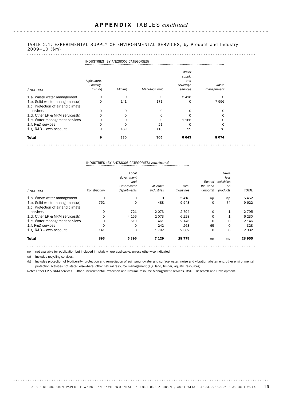### TABLE 2.1: EXPERIMENTAL SUPPLY OF ENVIRONMENTAL SERVICES, by Product and Industry, 2009– 10 (\$m)

|                                                                      | INDUSTRIES (BY ANZSICO6 CATEGORIES)  |          |               |                                                |                     |  |  |
|----------------------------------------------------------------------|--------------------------------------|----------|---------------|------------------------------------------------|---------------------|--|--|
| Products                                                             | Agriculture,<br>Forestry,<br>Fishing | Mining   | Manufacturing | Water<br>supply<br>and<br>sewerage<br>services | Waste<br>management |  |  |
| 1.a. Waste water management                                          | 0                                    | 0        | 0             | 5418                                           | 0                   |  |  |
| 1.b. Solid waste management(a)<br>1.c. Protection of air and climate | $\mathbf 0$                          | 141      | 171           | 0                                              | 7996                |  |  |
| services                                                             | 0                                    | 0        | 0             | 0                                              | 0                   |  |  |
| 1.d. Other EP & NRM services(b)                                      | $\Omega$                             | $\Omega$ | 0             |                                                | 0                   |  |  |
| 1.e. Water management services                                       | $\Omega$                             | 0        | $\Omega$      | 1 1 6 6                                        | 0                   |  |  |
| 1.f. R&D services                                                    | 0                                    | $\Omega$ | 21            | Ω                                              | 0                   |  |  |
| 1.g. R&D - own account                                               | 9                                    | 189      | 113           | 59                                             | 78                  |  |  |
| <b>Total</b>                                                         | 9                                    | 330      | 305           | 6643                                           | 8074                |  |  |
|                                                                      |                                      |          |               |                                                |                     |  |  |

## INDUSTRIES (BY ANZSIC06 CATEGORIES) *continued*

|                                    |              | Local<br>government<br>and<br>Government | All other         | Total      | Rest of<br>the world | Taxes<br>less<br>subsidies<br>on |              |
|------------------------------------|--------------|------------------------------------------|-------------------|------------|----------------------|----------------------------------|--------------|
| Products                           | Construction | departments                              | <b>Industries</b> | industries | (imports)            | products                         | <b>TOTAL</b> |
| 1.a. Waste water management        | 0            | 0                                        | $\mathbf 0$       | 5418       | np                   | np                               | 5452         |
| 1.b. Solid waste management(a)     | 752          | 0                                        | 488               | 9 5 4 8    | 0                    | 74                               | 9622         |
| 1.c. Protection of air and climate |              |                                          |                   |            |                      |                                  |              |
| services                           | 0            | 721                                      | 2073              | 2 7 9 4    | 0                    | $\mathbf{1}$                     | 2 7 9 5      |
| 1.d. Other EP & NRM services(b)    | $\Omega$     | 4 1 5 6                                  | 2073              | 6 2 2 8    | 0                    |                                  | 6 2 3 0      |
| 1.e. Water management services     | 0            | 519                                      | 461               | 2 1 4 6    | 0                    | 0                                | 2 1 4 6      |
| 1.f. R&D services                  | $\Omega$     | 0                                        | 242               | 263        | 65                   | $\mathbf 0$                      | 328          |
| 1.g. R&D - own account             | 141          | $\Omega$                                 | 1792              | 2 3 8 2    | $\Omega$             | $\mathbf 0$                      | 2 3 8 2      |
| <b>Total</b>                       | 893          | 5396                                     | 7 1 2 9           | 28 7 7 9   | np                   | np                               | 28 955       |
|                                    |              |                                          |                   |            |                      |                                  |              |

np not available for publication but included in totals where applicable, unless otherwise indicated

(a) Includes recycling services.

(b) Includes protection of biodiversity, protection and remediation of soil, groundwater and surface water, noise and vibration abatement, other environmental protection activities not stated elsewhere, other natural resource management (e.g. land, timber, aquatic resources).

Note: Other EP & NRM services – Other Environmental Protection and Natural Resource Management services. R&D – Research and Development.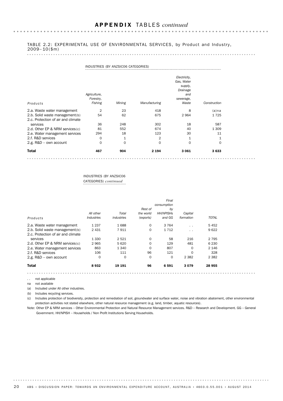### TABLE 2.2: EXPERIMENTAL USE OF ENVIRONMENTAL SERVICES, by Product and Industry, 2009– 10(\$m)

| Products                                                             | Agriculture,<br>Forestry,<br>Fishing | Mining       | Manufacturing  | Electricity,<br>Gas, Water<br>supply,<br>Drainage<br>and<br>sewerage,<br>Waste | Construction |  |
|----------------------------------------------------------------------|--------------------------------------|--------------|----------------|--------------------------------------------------------------------------------|--------------|--|
| 2.a. Waste water management                                          | $\overline{2}$                       | 23           | 418            | 8                                                                              | $(a)$ na     |  |
| 2.b. Solid waste management(b)<br>2.c. Protection of air and climate | 54                                   | 62           | 675            | 2964                                                                           | 1725         |  |
| services                                                             | 36                                   | 248          | 302            | 18                                                                             | 587          |  |
| 2.d. Other EP & NRM services(c)                                      | 81                                   | 552          | 674            | 40                                                                             | 1 3 0 9      |  |
| 2.e. Water management services                                       | 294                                  | 18           | 123            | 30                                                                             | 11           |  |
| 2.f. R&D services                                                    | 0                                    | $\mathbf{1}$ | $\overline{2}$ | $\mathbf{1}$                                                                   | $\mathbf{1}$ |  |
| 2.g. R&D - own account                                               | 0                                    | 0            | $\Omega$       | $\Omega$                                                                       | 0            |  |
| <b>Total</b>                                                         | 467                                  | 904          | 2 1 9 4        | 3 0 6 1                                                                        | 3633         |  |
|                                                                      |                                      |              |                |                                                                                |              |  |

### INDUSTRIES (BY ANZSIC06 CATEGORIES) *continued*

|                                    |                                 |            |           | Final            |           |              |
|------------------------------------|---------------------------------|------------|-----------|------------------|-----------|--------------|
|                                    |                                 |            |           | consumption      |           |              |
|                                    |                                 |            | Rest of   | by               |           |              |
|                                    | All other                       | Total      | the world | <b>HH/NPISHs</b> | Capital   |              |
| Products                           | <i><u><b>Industries</b></u></i> | industries | (exports) | and GG           | formation | <b>TOTAL</b> |
| 2.a. Waste water management        | 1 2 3 7                         | 1688       | $\Omega$  | 3 7 6 4          | $\cdot$ . | 5452         |
| 2.b. Solid waste management(b)     | 2 4 3 1                         | 7911       | 0         | 1712             | $\cdot$ . | 9622         |
| 2.c. Protection of air and climate |                                 |            |           |                  |           |              |
| services                           | 1 3 3 0                         | 2521       | $\Omega$  | 58               | 216       | 2 7 9 5      |
| 2.d. Other EP & NRM services (c)   | 2965                            | 5 6 20     | $\Omega$  | 129              | 481       | 6 2 3 0      |
| 2.e. Water management services     | 863                             | 1 3 4 0    | 0         | 807              | $\Omega$  | 2 1 4 6      |
| 2.f. R&D services                  | 106                             | 111        | 96        | 121              | 0         | 328          |
| 2.g. $R&D - own account$           | 0                               | 0          | 0         | $\mathbf 0$      | 2 3 8 2   | 2 3 8 2      |
| <b>Total</b>                       | 8932                            | 19 191     | 96        | 6591             | 3079      | 28 955       |

.. not applicable

na not available

(a) Included under All other industries.

(b) Includes recycling services.

(c) Includes protection of biodiversity, protection and remediation of soil, groundwater and surface water, noise and vibration abatement, other environmental protection activities not stated elsewhere, other natural resource management (e.g. land, timber, aquatic resources).

Note: Other EP & NRM services – Other Environmental Protection and Natural Resource Management services. R&D – Research and Development. GG – General Government. HH/NPISH – Households / Non Profit Institutions Serving Households.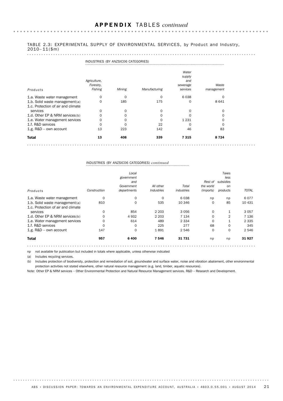### TABLE 2.3: EXPERIMENTAL SUPPLY OF ENVIRONMENTAL SERVICES, by Product and Industry,  $2010 - 11(\$m)$

|                                                                      |                                      | INDUSTRIES (BY ANZSICO6 CATEGORIES) |               |                                                |                     |  |  |  |  |
|----------------------------------------------------------------------|--------------------------------------|-------------------------------------|---------------|------------------------------------------------|---------------------|--|--|--|--|
| Products                                                             | Agriculture,<br>Forestry,<br>Fishing | Mining                              | Manufacturing | Water<br>supply<br>and<br>sewerage<br>services | Waste<br>management |  |  |  |  |
| 1.a. Waste water management                                          | 0                                    | 0                                   | 0             | 6038                                           | 0                   |  |  |  |  |
| 1.b. Solid waste management(a)<br>1.c. Protection of air and climate | 0                                    | 185                                 | 175           | 0                                              | 8 6 4 1             |  |  |  |  |
| services                                                             | 0                                    | 0                                   | 0             | $\Omega$                                       | 0                   |  |  |  |  |
| 1.d. Other EP & NRM services(b)                                      | $\Omega$                             | 0                                   | 0             | ∩                                              | $\Omega$            |  |  |  |  |
| 1.e. Water management services                                       | $\Omega$                             | 0                                   | 0             | 1 2 3 1                                        | $\Omega$            |  |  |  |  |
| 1.f. R&D services                                                    | $\Omega$                             | $\Omega$                            | 22            | $\Omega$                                       | $\Omega$            |  |  |  |  |
| 1.g. R&D - own account                                               | 13                                   | 223                                 | 142           | 46                                             | 83                  |  |  |  |  |
| <b>Total</b>                                                         | 13                                   | 408                                 | 339           | 7315                                           | 8 7 2 4             |  |  |  |  |
|                                                                      |                                      |                                     |               |                                                |                     |  |  |  |  |

## INDUSTRIES (BY ANZSIC06 CATEGORIES) *continued*

|                                    | Construction | Local<br>government<br>and<br>Government<br>departments | All other<br><b>Industries</b> | Total<br>industries | Rest of<br>the world<br>(imports) | Taxes<br>less<br>subsidies<br>on<br>products | <b>TOTAL</b> |
|------------------------------------|--------------|---------------------------------------------------------|--------------------------------|---------------------|-----------------------------------|----------------------------------------------|--------------|
| Products                           |              |                                                         |                                |                     |                                   |                                              |              |
| 1.a. Waste water management        | 0            | 0                                                       | $\mathbf 0$                    | 6038                | np                                | np                                           | 6077         |
| 1.b. Solid waste management(a)     | 810          | 0                                                       | 535                            | 10 346              | 0                                 | 85                                           | 10 431       |
| 1.c. Protection of air and climate |              |                                                         |                                |                     |                                   |                                              |              |
| services                           | 0            | 854                                                     | 2 2 0 3                        | 3056                | 0                                 | $\mathbf{1}$                                 | 3057         |
| 1.d. Other EP & NRM services(b)    | $\Omega$     | 4932                                                    | 2 2 0 3                        | 7 1 3 4             | 0                                 | 2                                            | 7 1 3 6      |
| 1.e. Water management services     | 0            | 614                                                     | 489                            | 2 3 3 4             | 0                                 | 1                                            | 2 3 3 5      |
| 1.f. R&D services                  | $\Omega$     | 0                                                       | 225                            | 277                 | 68                                | $\mathbf 0$                                  | 345          |
| 1.g. R&D - own account             | 147          | $\Omega$                                                | 1891                           | 2 546               | $\Omega$                          | $\mathbf 0$                                  | 2 5 4 6      |
| <b>Total</b>                       | 957          | 6400                                                    | 7546                           | 31 731              | np                                | np                                           | 31927        |
|                                    |              |                                                         |                                |                     |                                   |                                              |              |

np not available for publication but included in totals where applicable, unless otherwise indicated

(a) Includes recycling services.

(b) Includes protection of biodiversity, protection and remediation of soil, groundwater and surface water, noise and vibration abatement, other environmental protection activities not stated elsewhere, other natural resource management (e.g. land, timber, aquatic resources).

Note: Other EP & NRM services – Other Environmental Protection and Natural Resource Management services. R&D – Research and Development.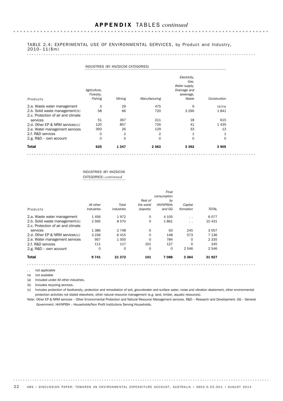### TABLE 2.4: EXPERIMENTAL USE OF ENVIRONMENTAL SERVICES, by Product and Industry,  $2010 - 11(\$m)$

|                                                                      | INDUSTRIES (BY ANZSICO6 CATEGORIES)  |        |               |                                                                             |              |  |  |  |
|----------------------------------------------------------------------|--------------------------------------|--------|---------------|-----------------------------------------------------------------------------|--------------|--|--|--|
| Products                                                             | Agriculture,<br>Forestry,<br>Fishing | Mining | Manufacturing | Electricity,<br>Gas.<br>Water supply,<br>Drainage and<br>sewerage,<br>Waste | Construction |  |  |  |
| 2.a. Waste water management                                          | 3                                    | 29     | 475           | 9                                                                           | $(a)$ na     |  |  |  |
| 2.b. Solid waste management(b)<br>2.c. Protection of air and climate | 58                                   | 66     | 720           | 3 2 9 0                                                                     | 1841         |  |  |  |
| services                                                             | 51                                   | 367    | 311           | 18                                                                          | 615          |  |  |  |
| 2.d. Other EP & NRM services(c)                                      | 120                                  | 857    | 726           | 41                                                                          | 1435         |  |  |  |
| 2.e. Water management services                                       | 393                                  | 26     | 129           | 33                                                                          | 13           |  |  |  |
| 2.f. R&D services                                                    | 0                                    | 2      | 2             | 1                                                                           |              |  |  |  |
| 2.g. R&D - own account                                               | $\mathbf 0$                          | 0      | $\Omega$      | $\mathbf 0$                                                                 | 0            |  |  |  |
| <b>Total</b>                                                         | 625                                  | 1347   | 2 3 6 3       | 3 3 9 2                                                                     | 3905         |  |  |  |
|                                                                      |                                      |        |               |                                                                             |              |  |  |  |

### INDUSTRIES (BY ANZSIC06 CATEGORIES) *continued*

|                                    |            |            |           | Final            |                 |              |
|------------------------------------|------------|------------|-----------|------------------|-----------------|--------------|
|                                    |            |            |           | consumption      |                 |              |
|                                    |            |            | Rest of   | by               |                 |              |
|                                    | All other  | Total      | the world | <b>HH/NPISHs</b> | Capital         |              |
| Products                           | Industries | industries | (exports) | and GG           | formation       | <b>TOTAL</b> |
| 2.a. Waste water management        | 1456       | 1972       | $\Omega$  | 4 1 0 5          | $\cdot$ $\cdot$ | 6077         |
| 2.b. Solid waste management(b)     | 2595       | 8570       | 0         | 1861             | $\cdot$ $\cdot$ | 10 431       |
| 2.c. Protection of air and climate |            |            |           |                  |                 |              |
| services                           | 1 3 8 6    | 2 7 4 8    | $\Omega$  | 63               | 245             | 3057         |
| 2.d. Other EP & NRM services(c)    | 3 2 3 6    | 6415       | $\Omega$  | 148              | 573             | 7 1 3 6      |
| 2.e. Water management services     | 957        | 1550       | $\Omega$  | 784              | 0               | 2 3 3 5      |
| 2.f. R&D services                  | 111        | 117        | 101       | 127              | 0               | 345          |
| 2.g. $R&D - own account$           | 0          | $\Omega$   | $\Omega$  | $\Omega$         | 2 546           | 2546         |
| <b>Total</b>                       | 9 741      | 21 372     | 101       | 7088             | 3 3 6 4         | 31927        |

.. not applicable

na not available

(a) Included under All other industries.

(b) Includes recycling services.

(c) Includes protection of biodiversity, protection and remediation of soil, groundwater and surface water, noise and vibration abatement, other environmental protection activities not stated elsewhere, other natural resource management (e.g. land, timber, aquatic resources).

Note: Other EP & NRM services – Other Environmental Protection and Natural Resource Management services. R&D – Research and Development. GG – General Government. HH/NPISH – Households/Non Profit Institutions Serving Households.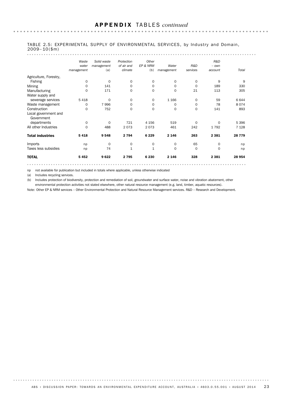$\ddot{\phantom{a}}$ 

|                                    | Waste       | Solid waste | Protection   | Other        |            |             | R&D      |          |
|------------------------------------|-------------|-------------|--------------|--------------|------------|-------------|----------|----------|
|                                    | water       | management  | of air and   | EP & NRM     | Water      | R&D         | $-$ own  |          |
|                                    | management  | (a)         | climate      | (b)          | management | services    | account  | Total    |
| Agriculture, Forestry,             |             |             |              |              |            |             |          |          |
| Fishing                            | 0           | $\Omega$    | $\mathbf 0$  | $\mathbf 0$  | 0          | $\mathbf 0$ | 9        | 9        |
| Mining                             | 0           | 141         | 0            | $\mathbf 0$  | $\Omega$   | $\mathbf 0$ | 189      | 330      |
| Manufacturing                      | 0           | 171         | 0            | 0            | 0          | 21          | 113      | 305      |
| Water supply and                   |             |             |              |              |            |             |          |          |
| sewerage services                  | 5 4 1 8     | $\Omega$    | $\mathbf 0$  | $\mathbf 0$  | 1 1 6 6    | $\mathbf 0$ | 59       | 6 6 4 4  |
| Waste management                   | 0           | 7996        | 0            | 0            | 0          | 0           | 78       | 8074     |
| Construction                       | $\Omega$    | 752         | $\Omega$     | $\mathbf 0$  | $\Omega$   | $\mathbf 0$ | 141      | 893      |
| Local government and<br>Government |             |             |              |              |            |             |          |          |
| departments                        | 0           | $\Omega$    | 721          | 4 1 5 6      | 519        | $\mathbf 0$ | $\Omega$ | 5 3 9 6  |
| All other Industries               | $\mathbf 0$ | 488         | 2073         | 2073         | 461        | 242         | 1792     | 7 1 28   |
| <b>Total industries</b>            | 5418        | 9548        | 2 7 9 4      | 6 2 2 9      | 2 1 4 6    | 263         | 2 3 8 1  | 28 7 7 9 |
| Imports                            | np          | 0           | 0            | 0            | 0          | 65          | 0        | np       |
| Taxes less subsidies               | np          | 74          | $\mathbf{1}$ | $\mathbf{1}$ | $\Omega$   | $\mathbf 0$ | 0        | np       |
| <b>TOTAL</b>                       | 5452        | 9622        | 2795         | 6 2 3 0      | 2 1 4 6    | 328         | 2 3 8 1  | 28 954   |

### TABLE 2.5: EXPERIMENTAL SUPPLY OF ENVIRONMENTAL SERVICES, by Industry and Domain, 2009– 10(\$m)

np not available for publication but included in totals where applicable, unless otherwise indicated

(a) Includes recycling services.

. . . . . . . . .

(b) Includes protection of biodiversity, protection and remediation of soil, groundwater and surface water, noise and vibration abatement, other environmental protection activities not stated elsewhere, other natural resource management (e.g. land, timber, aquatic resources).

Note: Other EP & NRM services – Other Environmental Protection and Natural Resource Management services. R&D – Research and Development.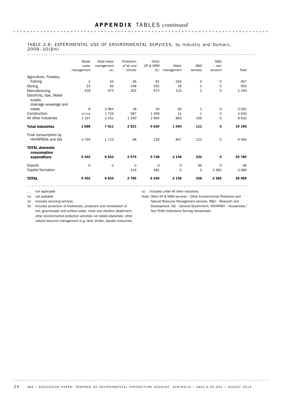### TABLE 2.6: EXPERIMENTAL USE OF ENVIRONMENTAL SERVICES, by Industry and Domain,  $2009 - 10$ (\$m)

#### . . . . . . . . . . . . . . . . .

|                                          | Waste<br>water<br>management | Solid waste<br>management<br>(a) | Protection<br>of air and<br>climate | Other<br>EP & NRM<br>(b) | Water<br>management | R&D<br>services | R&D<br>$-$ own<br>account | Total   |
|------------------------------------------|------------------------------|----------------------------------|-------------------------------------|--------------------------|---------------------|-----------------|---------------------------|---------|
| Agriculture, Forestry,                   |                              |                                  |                                     |                          |                     |                 |                           |         |
| Fishing                                  | $\overline{2}$               | 54                               | 36                                  | 81                       | 294                 | 0               | 0                         | 467     |
| Mining                                   | 23                           | 62                               | 248                                 | 552                      | 18                  | $\mathbf{1}$    | 0                         | 903     |
| Manufacturing                            | 418                          | 675                              | 302                                 | 674                      | 123                 | $\overline{2}$  | 0                         | 2 1 9 3 |
| Electricity, Gas, Water<br>supply,       |                              |                                  |                                     |                          |                     |                 |                           |         |
| drainage sewerage and                    |                              |                                  |                                     |                          |                     |                 |                           |         |
| waste                                    | 8                            | 2964                             | 18                                  | 40                       | 30                  | $\mathbf{1}$    | 0                         | 3 0 6 1 |
| Construction                             | $(c)$ na                     | 1725                             | 587                                 | 1 3 0 9                  | 11                  | $\mathbf{1}$    | 0                         | 3633    |
| All other Industries                     | 1 2 3 7                      | 2 4 3 1                          | 1 3 3 0                             | 2965                     | 863                 | 106             | 0                         | 8932    |
| <b>Total industries</b>                  | 1688                         | 7911                             | 2521                                | 5620                     | 1340                | 111             | $\mathbf 0$               | 19 190  |
| Final consumption by<br>HH/NPISHs and GG | 3 7 6 4                      | 1712                             | 58                                  | 129                      | 807                 | 121             | $\mathbf 0$               | 6590    |
| <b>TOTAL domestic</b><br>consumption     |                              |                                  |                                     |                          |                     |                 |                           |         |
| expenditure                              | 5 4 5 2                      | 9623                             | 2579                                | 5748                     | 2 1 4 6             | 232             | 0                         | 25 780  |
| <b>Exports</b>                           | $\mathbf 0$                  | $\Omega$                         | $\mathbf 0$                         | $\mathbf 0$              | 0                   | 96              | $\Omega$                  | 96      |
| Capital formation                        | $\ddotsc$                    | $\ddotsc$                        | 216                                 | 481                      | $\mathbf{O}$        | 0               | 2 3 8 2                   | 3 0 8 0 |
| <b>TOTAL</b>                             | 5452                         | 9623                             | 2795                                | 6 2 3 0                  | 2 1 4 6             | 328             | 2 3 8 2                   | 28 956  |

.. not applicable

na not available

(a) Includes recycling services.

(b) Includes protection of biodiversity, protection and remediation of soil, groundwater and surface water, noise and vibration abatement, other environmental protection activities not stated elsewhere, other

natural resource management (e.g. land, timber, aquatic resources).

(c) Included under All other industries. Note: Other EP & NRM services – Other Environmental Protection and

Natural Resource Management services. R&D – Research and Development. GG – General Government. HH/NPISH – Households / Non Profit Institutions Serving Households.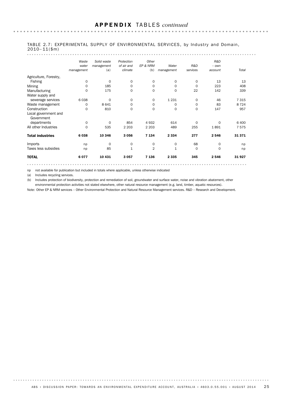|                                    | Waste        | Solid waste | Protection  | Other          |              |             | R&D      |         |  |
|------------------------------------|--------------|-------------|-------------|----------------|--------------|-------------|----------|---------|--|
|                                    | water        | management  | of air and  | EP & NRM       | Water        | R&D         | $-$ own  |         |  |
|                                    | management   | (a)         | climate     | (b)            | management   | services    | account  | Total   |  |
| Agriculture, Forestry,             |              |             |             |                |              |             |          |         |  |
| Fishing                            | 0            | $\mathbf 0$ | $\mathbf 0$ | $\mathbf 0$    | 0            | $\mathbf 0$ | 13       | 13      |  |
| Mining                             | 0            | 185         | $\mathbf 0$ | 0              | 0            | 0           | 223      | 408     |  |
| Manufacturing                      | 0            | 175         | $\mathbf 0$ | $\mathbf 0$    | $\mathbf 0$  | 22          | 142      | 339     |  |
| Water supply and                   |              |             |             |                |              |             |          |         |  |
| sewerage services                  | 6038         | 0           | $\mathbf 0$ | 0              | 1 2 3 1      | 0           | 46       | 7 3 1 5 |  |
| Waste management                   | 0            | 8 6 4 1     | $\mathbf 0$ | 0              | 0            | $\mathbf 0$ | 83       | 8 7 2 4 |  |
| Construction                       | $\Omega$     | 810         | $\mathbf 0$ | $\mathbf 0$    | 0            | $\mathbf 0$ | 147      | 957     |  |
| Local government and<br>Government |              |             |             |                |              |             |          |         |  |
| departments                        | 0            | $\Omega$    | 854         | 4932           | 614          | $\Omega$    | $\Omega$ | 6 400   |  |
| All other Industries               | $\mathbf{O}$ | 535         | 2 2 0 3     | 2 2 0 3        | 489          | 255         | 1891     | 7575    |  |
| <b>Total industries</b>            | 6038         | 10 346      | 3 0 5 6     | 7 1 3 4        | 2 3 3 4      | 277         | 2546     | 31371   |  |
| Imports                            | np           | 0           | 0           | 0              | 0            | 68          | 0        | np      |  |
| Taxes less subsidies               | np           | 85          | $\mathbf 1$ | $\overline{2}$ | $\mathbf{1}$ | $\mathbf 0$ | $\Omega$ | np      |  |
| <b>TOTAL</b>                       | 6077         | 10 4 31     | 3 0 5 7     | 7 1 3 6        | 2 3 3 5      | 345         | 2546     | 31927   |  |

### TABLE 2.7: EXPERIMENTAL SUPPLY OF ENVIRONMENTAL SERVICES, by Industry and Domain, 2010– 11(\$m)

np not available for publication but included in totals where applicable, unless otherwise indicated

(a) Includes recycling services.

. . . . . . . . .

(b) Includes protection of biodiversity, protection and remediation of soil, groundwater and surface water, noise and vibration abatement, other environmental protection activities not stated elsewhere, other natural resource management (e.g. land, timber, aquatic resources).

Note: Other EP & NRM services – Other Environmental Protection and Natural Resource Management services. R&D – Research and Development.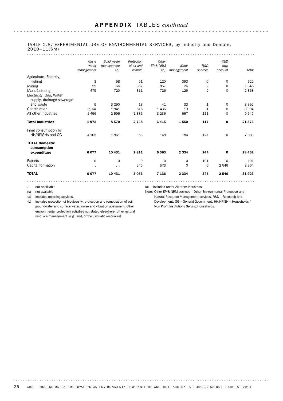### TABLE 2.8: EXPERIMENTAL USE OF ENVIRONMENTAL SERVICES, by Industry and Domain,  $2010 - 11(\$m)$

. . . . . . . . . . . . . . . . .

|                                                      | Waste<br>water<br>management | Solid waste<br>management<br>(a) | Protection<br>of air and<br>climate | Other<br>EP & NRM<br>(b) | Water<br>management | R&D<br>services | R&D<br>$-$ own<br>account | Total    |
|------------------------------------------------------|------------------------------|----------------------------------|-------------------------------------|--------------------------|---------------------|-----------------|---------------------------|----------|
| Agriculture, Forestry,                               |                              |                                  |                                     |                          |                     |                 |                           |          |
| Fishing                                              | 3                            | 58                               | 51                                  | 120                      | 393                 | 0               | $\mathbf 0$               | 625      |
| Mining                                               | 29                           | 66                               | 367                                 | 857                      | 26                  | $\overline{2}$  | 0                         | 1 3 4 6  |
| Manufacturing                                        | 475                          | 720                              | 311                                 | 726                      | 129                 | $\overline{2}$  | $\mathbf 0$               | 2 3 6 3  |
| Electricity, Gas, Water<br>supply, drainage sewerage |                              |                                  |                                     |                          |                     |                 |                           |          |
| and waste                                            | 9                            | 3 2 9 0                          | 18                                  | 41                       | 33                  | $\mathbf 1$     | 0                         | 3 3 9 2  |
| Construction                                         | $(c)$ na                     | 1841                             | 615                                 | 1435                     | 13                  | $\mathbf{1}$    | 0                         | 3 9 0 4  |
| All other Industries                                 | 1456                         | 2 5 9 5                          | 1 3 8 6                             | 3 2 3 6                  | 957                 | 111             | 0                         | 9 7 4 2  |
| <b>Total industries</b>                              | 1972                         | 8570                             | 2 7 4 8                             | 6415                     | 1550                | 117             | 0                         | 21 373   |
| Final consumption by<br>HH/NPISHs and GG             | 4 1 0 5                      | 1861                             | 63                                  | 148                      | 784                 | 127             | $\mathbf 0$               | 7 0 8 9  |
| <b>TOTAL domestic</b><br>consumption                 |                              |                                  |                                     |                          |                     |                 |                           |          |
| expenditure                                          | 6077                         | 10 431                           | 2811                                | 6563                     | 2 3 3 4             | 244             | 0                         | 28 4 6 2 |
| <b>Exports</b>                                       | 0                            | 0                                | 0                                   | $\mathbf 0$              | $\mathbf 0$         | 101             | 0                         | 101      |
| Capital formation                                    | $\ddotsc$                    | $\sim$ $\sim$                    | 245                                 | 573                      | 0                   | $\mathbf 0$     | 2 5 4 6                   | 3 3 6 4  |
| <b>TOTAL</b>                                         | 6077                         | 10 431                           | 3056                                | 7 1 3 6                  | 2 3 3 4             | 345             | 2546                      | 31926    |

.. not applicable

na not available

. . . . . . . .

(a) Includes recycling services.

(b) Includes protection of biodiversity, protection and remediation of soil, groundwater and surface water, noise and vibration abatement, other environmental protection activities not stated elsewhere, other natural resource management (e.g. land, timber, aquatic resources).

(c) Included under All other industries.

Note: Other EP & NRM services – Other Environmental Protection and Natural Resource Management services. R&D – Research and Development. GG – General Government. HH/NPISH – Households / Non Profit Institutions Serving Households.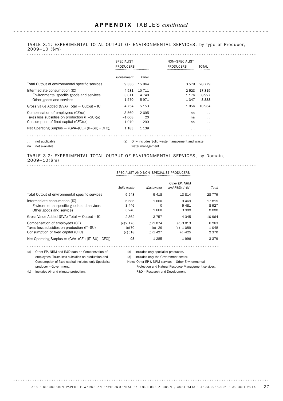#### TABLE 3.1: EXPERIMENTAL TOTAL OUTPUT OF ENVIRONMENTAL SERVICES, by type of Producer, 2009– 10 (\$m) . . . . . . . . . . . . . . . . .

|                                                                                                                                                                                 | <b>SPECIALIST</b><br><b>PRODUCERS</b> |                                  | NON-SPECIALIST<br><b>PRODUCERS</b><br> | TOTAL                                                     |
|---------------------------------------------------------------------------------------------------------------------------------------------------------------------------------|---------------------------------------|----------------------------------|----------------------------------------|-----------------------------------------------------------|
|                                                                                                                                                                                 | Government                            | Other                            |                                        |                                                           |
| Total Output of environmental specific services                                                                                                                                 | 9 3 3 6                               | 15864                            | 3579                                   | 28 7 7 9                                                  |
| Intermediate consumption (IC)<br>Environmental specific goods and services<br>Other goods and services                                                                          | 4 5 8 1<br>3 0 1 1<br>1570            | 10 711<br>4 740<br>5971          | 2 5 2 3<br>1 1 7 6<br>1 347            | 17815<br>8927<br>8888                                     |
| Gross Value Added (GVA) Total $=$ Output $-$ IC                                                                                                                                 | 4 7 5 4                               | 5 1 5 3                          | 1056                                   | 10 964                                                    |
| Compensation of employees (CE)(a)<br>Taxes less subsidies on production (IT-SU)(a)<br>Consumption of fixed capital (CFC)(a)<br>Net Operating Surplus = $(GVA-(CE+(IT-SU)+CFC))$ | 3569<br>$-1068$<br>1070<br>1 1 8 3    | 2695<br>20<br>1 2 9 9<br>1 1 3 9 | na<br>na<br>na<br>. .                  | $\cdot$ $\cdot$<br>$\cdot$ $\cdot$<br>$\cdot$ .<br>$\sim$ |
|                                                                                                                                                                                 |                                       |                                  |                                        |                                                           |

**AAAAAAAA** (a) Only includes Solid waste management and Waste

.. not applicable na not available

water management.

## TABLE 3.2: EXPERIMENTAL TOTAL OUTPUT OF ENVIRONMENTAL SERVICES, by Domain, 2009– 10(\$m)

SPECIALIST AND NON–SPECIALIST PRODUCERS

|                                                                                                                    | Solid waste                     | Wastewater                             | Other EP, NRM<br>and $R&D(a)(b)$     | Total                          |
|--------------------------------------------------------------------------------------------------------------------|---------------------------------|----------------------------------------|--------------------------------------|--------------------------------|
| Total Output of environmental specific services                                                                    | 9 5 4 8                         | 5418                                   | 13814                                | 28 7 7 9                       |
| Intermediate consumption (IC)<br>Environmental specific goods and services<br>Other goods and services             | 6 686<br>3446<br>3 2 4 0        | 1 660<br>O<br>1660                     | 9469<br>5481<br>3988                 | 17815<br>8927<br>8888          |
| Gross Value Added (GVA) Total $=$ Output $-$ IC                                                                    | 2862                            | 3 7 5 7                                | 4 3 4 5                              | 10 964                         |
| Compensation of employees (CE)<br>Taxes less subsidies on production (IT-SU)<br>Consumption of fixed capital (CFC) | $(c)$ 2 176<br>(c) 70<br>(c)518 | (c) 1 074<br>$(c) - 29$<br>$(c)$ 1 427 | (d)3013<br>$(d) - 1089$<br>$(d)$ 425 | 6 2 6 3<br>$-1.048$<br>2 3 7 0 |
| Net Operating Surplus = $(GVA-(CE+(IT-SU)+CFC))$                                                                   | 98                              | 1 2 8 5                                | 1996                                 | 3 3 7 9                        |

(c) Includes only specialist producers.

(d) Includes only the Government sector.

Note: Other EP & NRM services – Other Environmental Protection and Natural Resource Management services. R&D – Research and Development.

producer – Government. (b) Includes Air and climate protection.

(a) Other EP, NRM and R&D data on Compensation of employees, Taxes less subsidies on production and Consumption of fixed capital includes only Specialist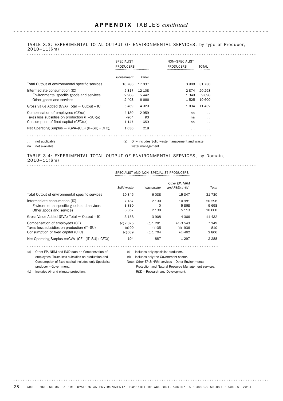### TABLE 3.3: EXPERIMENTAL TOTAL OUTPUT OF ENVIRONMENTAL SERVICES, by type of Producer,  $2010 - 11(\$m)$

|                                                                                                                             | <b>SPECIALIST</b><br><b>PRODUCERS</b><br> |                        | NON-SPECIALIST<br><b>PRODUCERS</b><br> | TOTAL                    |
|-----------------------------------------------------------------------------------------------------------------------------|-------------------------------------------|------------------------|----------------------------------------|--------------------------|
|                                                                                                                             | Government                                | Other                  |                                        |                          |
| Total Output of environmental specific services                                                                             | 10 786                                    | 17 037                 | 3 908                                  | 31 730                   |
| Intermediate consumption (IC)<br>Environmental specific goods and services<br>Other goods and services                      | 5 3 1 7<br>2 908<br>2408                  | 12 108<br>5442<br>6666 | 2874<br>1 349<br>1525                  | 20 298<br>9698<br>10 600 |
| Gross Value Added (GVA) Total $=$ Output $-$ IC                                                                             | 5469                                      | 4 9 2 9                | 1 0 3 4                                | 11 432                   |
| Compensation of employees (CE)(a)<br>Taxes less subsidies on production (IT-SU)(a)<br>Consumption of fixed capital (CFC)(a) | 4 189<br>$-904$<br>1 1 4 7                | 2959<br>93<br>1659     | na<br>na<br>na                         | . .<br>. .<br>. .        |
| Net Operating Surplus = $(GVA-(CE+(IT-SU)+CFC))$                                                                            | 1 0 3 6                                   | 218                    | . .                                    | . .                      |

(a) Only includes Solid waste management and Waste

.. not applicable na not available

water management.

## TABLE 3.4: EXPERIMENTAL TOTAL OUTPUT OF ENVIRONMENTAL SERVICES, by Domain, 2010– 11(\$m)

|                                                                                                                    | Solid waste                       | Wastewater                          | Other EP, NRM<br>and $R&D(a)(b)$        | Total                    |
|--------------------------------------------------------------------------------------------------------------------|-----------------------------------|-------------------------------------|-----------------------------------------|--------------------------|
| Total Output of environmental specific services                                                                    | 10 345                            | 6038                                | 15 347                                  | 31 730                   |
| Intermediate consumption (IC)<br>Environmental specific goods and services<br>Other goods and services             | 7 1 8 7<br>3830<br>3 3 5 7        | 2 1 3 0<br>0<br>2 1 3 0             | 10 981<br>5868<br>5 1 1 3               | 20 298<br>9698<br>10 600 |
| Gross Value Added (GVA) Total $=$ Output $-$ IC                                                                    | 3 1 5 8                           | 3 908                               | 4 3 6 6                                 | 11 432                   |
| Compensation of employees (CE)<br>Taxes less subsidies on production (IT-SU)<br>Consumption of fixed capital (CFC) | $(c)$ 2 3 2 5<br>(c)90<br>(c) 639 | $(c)$ 1 281<br>(c)35<br>$(c)$ 1 704 | $(d)$ 3 543<br>$(d) - 936$<br>$(d)$ 462 | 7 1 4 9<br>-810<br>2806  |
| Net Operating Surplus $=(GVA-(CE+(IT-SU)+CFC))$                                                                    | 104                               | 887                                 | 1 2 9 7                                 | 2 2 8 8                  |

(c) Includes only specialist producers.

(d) Includes only the Government sector.

Note: Other EP & NRM services – Other Environmental Protection and Natural Resource Management services.

producer – Government. (b) Includes Air and climate protection.

. . . . . . . .

(a) Other EP, NRM and R&D data on Compensation of employees, Taxes less subsidies on production and Consumption of fixed capital includes only Specialist

R&D – Research and Development.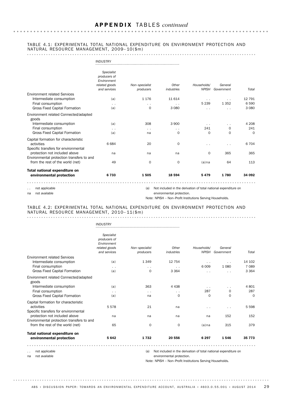### TABLE 4.1: EXPERIMENTAL TOTAL NATIONAL EXPENDITURE ON ENVIRONMENT PROTECTION AND NATURAL RESOURCE MANAGEMENT, 2009– 10(\$m)

|                                                                                                                                         | <b>INDUSTRY</b>                                                            |                                         |                                                                 |                                       |                                   |                              |
|-----------------------------------------------------------------------------------------------------------------------------------------|----------------------------------------------------------------------------|-----------------------------------------|-----------------------------------------------------------------|---------------------------------------|-----------------------------------|------------------------------|
|                                                                                                                                         | Specialist<br>producers of<br>Environment<br>related goods<br>and services | Non-specialist<br>producers             | Other<br>industries                                             | Households/<br><b>NPISH</b>           | General<br>Government             | Total                        |
| <b>Environment related Services</b><br>Intermediate consumption<br>Final consumption<br><b>Gross Fixed Capital Formation</b>            | (a)<br>$\sim$ $\sim$<br>(a)                                                | 1 1 7 6<br>$\sim$ $\sim$<br>$\mathbf 0$ | 11 614<br>$\sim$<br>3 0 8 0                                     | $\sim$ $\sim$<br>5 2 3 9<br>$\ddotsc$ | $\ddotsc$<br>1 3 5 2<br>$\cdot$ . | 12 791<br>6 5 9 0<br>3 0 8 0 |
| Environment related Connected/adapted<br>goods<br>Intermediate consumption<br>Final consumption<br><b>Gross Fixed Capital Formation</b> | (a)<br>$\sim$ $\sim$<br>(a)                                                | 308<br>$\sim$ $\sim$<br>na              | 3 9 0 0<br>$\cdot$ .<br>$\mathbf 0$                             | $\sim$ $\sim$<br>241<br>$\mathbf 0$   | $\cdot$ .<br>0<br>$\mathbf 0$     | 4 2 0 8<br>241<br>$\Omega$   |
| Capital formation for characteristic<br>activities<br>Specific transfers for environmental                                              | 6684<br>na                                                                 | 20                                      | $\mathbf 0$                                                     | $\sim$ $\sim$<br>$\mathbf 0$          | $\ddotsc$<br>365                  | 6 7 0 4<br>365               |
| protection not included above<br>Environmental protection transfers to and<br>from the rest of the world (net)                          | 49                                                                         | na<br>$\mathbf 0$                       | na<br>$\mathbf 0$                                               | $(a)$ na                              | 64                                | 113                          |
| <b>Total national expenditure on</b><br>environmental protection                                                                        | 6733                                                                       | 1505                                    | 18 5 94                                                         | 5479                                  | 1780                              | 34 092                       |
| not applicable                                                                                                                          |                                                                            | (a)                                     | Not included in the derivation of total national expenditure on |                                       |                                   |                              |

na not available

 $\sim$   $\sim$   $\sim$ 

environmental protection.

Note: NPISH – Non–Profit Institutions Serving Households.

### TABLE 4.2: EXPERIMENTAL TOTAL NATIONAL EXPENDITURE ON ENVIRONMENT PROTECTION AND NATURAL RESOURCE MANAGEMENT, 2010– 11(\$m)

|                                                                                            | <b>INDUSTRY</b>                                                            |                             |                     |                             |                       |          |
|--------------------------------------------------------------------------------------------|----------------------------------------------------------------------------|-----------------------------|---------------------|-----------------------------|-----------------------|----------|
|                                                                                            |                                                                            |                             |                     |                             |                       |          |
|                                                                                            | Specialist<br>producers of<br>Environment<br>related goods<br>and services | Non-specialist<br>producers | Other<br>industries | Households/<br><b>NPISH</b> | General<br>Government | Total    |
| <b>Environment related Services</b>                                                        |                                                                            |                             |                     |                             |                       |          |
| Intermediate consumption                                                                   | (a)                                                                        | 1 3 4 9                     | 12 7 54             | $\sim$ $\sim$               | $\sim$                | 14 102   |
| Final consumption                                                                          | $\sim$                                                                     | $\sim$                      | $\sim$              | 6009                        | 1 0 8 0               | 7 0 8 9  |
| <b>Gross Fixed Capital Formation</b>                                                       | (a)                                                                        | $\mathbf 0$                 | 3 3 6 4             | $\ddotsc$                   | $\sim$                | 3 3 6 4  |
| Environment related Connected/adapted<br>goods                                             |                                                                            |                             |                     |                             |                       |          |
| Intermediate consumption                                                                   | (a)                                                                        | 363                         | 4 4 3 8             | $\sim$ $-$                  | $\sim$                | 4 8 0 1  |
| Final consumption                                                                          | $\sim$ $\sim$                                                              | $\sim$                      | $\cdot$ .           | 287                         | $\mathbf 0$           | 287      |
| <b>Gross Fixed Capital Formation</b>                                                       | (a)                                                                        | na                          | $\mathbf 0$         | $\Omega$                    | $\Omega$              | $\Omega$ |
| Capital formation for characteristic<br>activities<br>Specific transfers for environmental | 5578                                                                       | 21                          | na                  | $\sim$ $\sim$               | $\sim$ $\sim$         | 5 5 9 8  |
| protection not included above<br>Environmental protection transfers to and                 | na                                                                         | na                          | na                  | na                          | 152                   | 152      |
| from the rest of the world (net)                                                           | 65                                                                         | $\mathbf 0$                 | $\mathbf 0$         | $(a)$ na                    | 315                   | 379      |
| <b>Total national expenditure on</b>                                                       |                                                                            |                             |                     |                             |                       |          |
| environmental protection                                                                   | 5642                                                                       | 1732                        | 20 556              | 6 2 9 7                     | 1546                  | 35 7 7 3 |
|                                                                                            |                                                                            |                             |                     |                             |                       |          |

.. not applicable na not available

environmental protection.

Note: NPISH – Non–Profit Institutions Serving Households.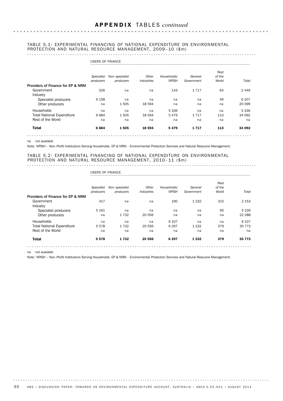### TABLE 5.1: EXPERIMENTAL FINANCING OF NATIONAL EXPENDITURE ON ENVIRONMENTAL PROTECTION AND NATURAL RESOURCE MANAGEMENT, 2009-10 (\$m)

| <b>Total</b>                                               | 6684                    | 1505                        | 18 594              | 5479                        | 1717                  | 113                     | 34 092  |
|------------------------------------------------------------|-------------------------|-----------------------------|---------------------|-----------------------------|-----------------------|-------------------------|---------|
| Rest of the World                                          | na                      | na                          | na                  | na                          | na                    | na                      | na      |
| <b>Total National Expenditure</b>                          | 6684                    | 1505                        | 18 5 94             | 5479                        | 1 7 1 7               | 113                     | 34 092  |
| Households                                                 | na                      | na                          | na                  | 5 3 3 6                     | na                    | na                      | 5 3 3 6 |
| Other producers                                            | na                      | 1505                        | 18 594              | na                          | na                    | na                      | 20 099  |
| Industry<br>Specialist producers                           | 6 1 5 8                 | na                          | na                  | na                          | na                    | 49                      | 6 20 7  |
| <b>Providers of Finance for EP &amp; NRM</b><br>Government | 526                     | na                          | na                  | 143                         | 1 7 1 7               | 64                      | 2449    |
|                                                            | Specialist<br>producers | Non-specialist<br>producers | Other<br>Industries | Households/<br><b>NPISH</b> | General<br>Government | Rest<br>of the<br>World | Total   |

na not available

Note: NPISH – Non–Profit Institutions Serving Households. EP & NRM – Environmental Protection Services and Natural Resource Management.

#### TABLE 5.2: EXPERIMENTAL FINANCING OF NATIONAL EXPENDITURE ON ENVIRONMENTAL PROTECTION AND NATURAL RESOURCE MANAGEMENT, 2010-11 (\$m)

|                                   | <b>USERS OF FINANCE</b> |                             |                     |                             |                       |                         |          |
|-----------------------------------|-------------------------|-----------------------------|---------------------|-----------------------------|-----------------------|-------------------------|----------|
|                                   | Specialist<br>producers | Non-specialist<br>producers | Other<br>Industries | Households/<br><b>NPISH</b> | General<br>Government | Rest<br>of the<br>World | Total    |
| Providers of Finance for EP & NRM |                         |                             |                     |                             |                       |                         |          |
| Government                        | 417                     | na                          | na                  | 190                         | 1 2 3 2               | 315                     | 2 1 5 3  |
| Industry<br>Specialist producers  | 5 1 6 1                 | na                          | na                  | na                          | na                    | 65                      | 5 2 2 6  |
| Other producers                   | na                      | 1732                        | 20 556              | na                          | na                    | na                      | 22 288   |
| Households                        | na                      | na                          | na                  | 6 107                       | na                    | na                      | 6 10 7   |
| <b>Total National Expenditure</b> | 5578                    | 1732                        | 20 556              | 6 2 9 7                     | 1 2 3 2               | 379                     | 35 7 7 3 |
| Rest of the World                 | na                      | na                          | na                  | na                          | na                    | na                      | na       |
| <b>Total</b>                      | 5578                    | 1732                        | 20 556              | 6 2 9 7                     | 1 2 3 2               | 379                     | 35 7 7 3 |
|                                   |                         |                             |                     |                             |                       |                         | .        |

na not available

Note: NPISH – Non–Profit Institutions Serving Households. EP & NRM – Environmental Protection Services and Natural Resource Management.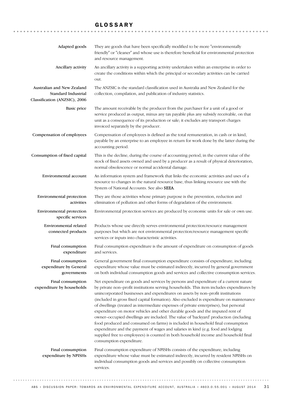## GLOSSARY

| Adapted goods                                                                      | They are goods that have been specifically modified to be more "environmentally<br>friendly" or "cleaner" and whose use is therefore beneficial for environmental protection<br>and resource management.                                                                                                                                                                                                                                                                                                                                                                                                                                                                                                                                                                                                                                                                                                                    |
|------------------------------------------------------------------------------------|-----------------------------------------------------------------------------------------------------------------------------------------------------------------------------------------------------------------------------------------------------------------------------------------------------------------------------------------------------------------------------------------------------------------------------------------------------------------------------------------------------------------------------------------------------------------------------------------------------------------------------------------------------------------------------------------------------------------------------------------------------------------------------------------------------------------------------------------------------------------------------------------------------------------------------|
| Ancillary activity                                                                 | An ancillary activity is a supporting activity undertaken within an enterprise in order to<br>create the conditions within which the principal or secondary activities can be carried<br>out.                                                                                                                                                                                                                                                                                                                                                                                                                                                                                                                                                                                                                                                                                                                               |
| Australian and New Zealand<br>Standard Industrial<br>Classification (ANZSIC), 2006 | The ANZSIC is the standard classification used in Australia and New Zealand for the<br>collection, compilation, and publication of industry statistics.                                                                                                                                                                                                                                                                                                                                                                                                                                                                                                                                                                                                                                                                                                                                                                     |
| <b>Basic price</b>                                                                 | The amount receivable by the producer from the purchaser for a unit of a good or<br>service produced as output, minus any tax payable plus any subsidy receivable, on that<br>unit as a consequence of its production or sale; it excludes any transport charges<br>invoiced separately by the producer.                                                                                                                                                                                                                                                                                                                                                                                                                                                                                                                                                                                                                    |
| Compensation of employees                                                          | Compensation of employees is defined as the total remuneration, in cash or in kind,<br>payable by an enterprise to an employee in return for work done by the latter during the<br>accounting period.                                                                                                                                                                                                                                                                                                                                                                                                                                                                                                                                                                                                                                                                                                                       |
| Consumption of fixed capital                                                       | This is the decline, during the course of accounting period, in the current value of the<br>stock of fixed assets owned and used by a producer as a result of physical deterioration,<br>normal obsolescence or normal accidental damage.                                                                                                                                                                                                                                                                                                                                                                                                                                                                                                                                                                                                                                                                                   |
| Environmental account                                                              | An information system and framework that links the economic activities and uses of a<br>resource to changes in the natural resource base, thus linking resource use with the<br>System of National Accounts. See also SEEA.                                                                                                                                                                                                                                                                                                                                                                                                                                                                                                                                                                                                                                                                                                 |
| Environmental protection<br>activities                                             | They are those activities whose primary purpose is the prevention, reduction and<br>elimination of pollution and other forms of degradation of the environment.                                                                                                                                                                                                                                                                                                                                                                                                                                                                                                                                                                                                                                                                                                                                                             |
| Environmental protection<br>specific services                                      | Environmental protection services are produced by economic units for sale or own use.                                                                                                                                                                                                                                                                                                                                                                                                                                                                                                                                                                                                                                                                                                                                                                                                                                       |
| Environmental related<br>connected products                                        | Products whose use directly serves environmental protection/resource management<br>purposes but which are not environmental protection/resource management specific<br>services or inputs into characteristic activities.                                                                                                                                                                                                                                                                                                                                                                                                                                                                                                                                                                                                                                                                                                   |
| Final consumption<br>expenditure                                                   | Final consumption expenditure is the amount of expenditure on consumption of goods<br>and services.                                                                                                                                                                                                                                                                                                                                                                                                                                                                                                                                                                                                                                                                                                                                                                                                                         |
| Final consumption<br>expenditure by General<br>governments                         | General government final consumption expenditure consists of expenditure, including<br>expenditure whose value must be estimated indirectly, incurred by general government<br>on both individual consumption goods and services and collective consumption services.                                                                                                                                                                                                                                                                                                                                                                                                                                                                                                                                                                                                                                                       |
| Final consumption<br>expenditure by households                                     | Net expenditure on goods and services by persons and expenditure of a current nature<br>by private non-profit institutions serving households. This item includes expenditures by<br>unincorporated businesses and expenditures on assets by non-profit institutions<br>(included in gross fixed capital formation). Also excluded is expenditure on maintenance<br>of dwellings (treated as intermediate expenses of private enterprises), but personal<br>expenditure on motor vehicles and other durable goods and the imputed rent of<br>owner-occupied dwellings are included. The value of 'backyard' production (including<br>food produced and consumed on farms) is included in household final consumption<br>expenditure and the payment of wages and salaries in kind (e.g. food and lodging<br>supplied free to employees) is counted in both household income and household final<br>consumption expenditure. |
| Final consumption<br>expenditure by NPISHs                                         | Final consumption expenditure of NPISHs consists of the expenditure, including<br>expenditure whose value must be estimated indirectly, incurred by resident NPISHs on<br>individual consumption goods and services and possibly on collective consumption<br>services.                                                                                                                                                                                                                                                                                                                                                                                                                                                                                                                                                                                                                                                     |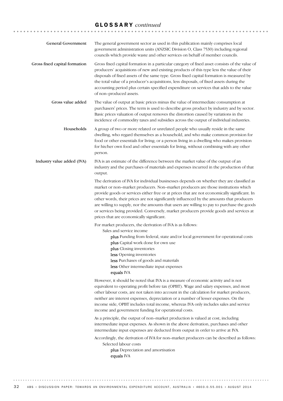| <b>General Government</b>     | The general government sector as used in this publication mainly comprises local<br>government administration units (ANZSIC Division O, Class 7530) including regional<br>councils which provide waste and other services on behalf of member councils.                                                                                                                                                                                                                                                                                                                                                         |
|-------------------------------|-----------------------------------------------------------------------------------------------------------------------------------------------------------------------------------------------------------------------------------------------------------------------------------------------------------------------------------------------------------------------------------------------------------------------------------------------------------------------------------------------------------------------------------------------------------------------------------------------------------------|
| Gross fixed capital formation | Gross fixed capital formation in a particular category of fixed asset consists of the value of<br>producers' acquisitions of new and existing products of this type less the value of their<br>disposals of fixed assets of the same type. Gross fixed capital formation is measured by<br>the total value of a producer's acquisitions, less disposals, of fixed assets during the<br>accounting period plus certain specified expenditure on services that adds to the value<br>of non-produced assets.                                                                                                       |
| Gross value added             | The value of output at basic prices minus the value of intermediate consumption at<br>purchasers' prices. The term is used to describe gross product by industry and by sector.<br>Basic prices valuation of output removes the distortion caused by variations in the<br>incidence of commodity taxes and subsidies across the output of individual industries.                                                                                                                                                                                                                                                |
| Households                    | A group of two or more related or unrelated people who usually reside in the same<br>dwelling, who regard themselves as a household, and who make common provision for<br>food or other essentials for living; or a person living in a dwelling who makes provision<br>for his/her own food and other essentials for living, without combining with any other<br>person.                                                                                                                                                                                                                                        |
| Industry value added (IVA)    | IVA is an estimate of the difference between the market value of the output of an<br>industry and the purchases of materials and expenses incurred in the production of that<br>output.                                                                                                                                                                                                                                                                                                                                                                                                                         |
|                               | The derivation of IVA for individual businesses depends on whether they are classified as<br>market or non-market producers. Non-market producers are those institutions which<br>provide goods or services either free or at prices that are not economically significant. In<br>other words, their prices are not significantly influenced by the amounts that producers<br>are willing to supply, nor the amounts that users are willing to pay to purchase the goods<br>or services being provided. Conversely, market producers provide goods and services at<br>prices that are economically significant. |
|                               | For market producers, the derivation of IVA is as follows:<br>Sales and service income<br>plus Funding from federal, state and/or local government for operational costs<br>plus Capital work done for own use<br><b>plus</b> Closing inventories<br>less Opening inventories<br>less Purchases of goods and materials<br>less Other intermediate input expenses<br>equals IVA                                                                                                                                                                                                                                  |
|                               | However, it should be noted that IVA is a measure of economic activity and is not<br>equivalent to operating profit before tax (OPBT). Wage and salary expenses, and most<br>other labour costs, are not taken into account in the calculation for market producers,<br>neither are interest expenses, depreciation or a number of lesser expenses. On the<br>income side, OPBT includes total income, whereas IVA only includes sales and service<br>income and government funding for operational costs.                                                                                                      |
|                               | As a principle, the output of non-market production is valued at cost, including<br>intermediate input expenses. As shown in the above derivation, purchases and other<br>intermediate input expenses are deducted from output in order to arrive at IVA.                                                                                                                                                                                                                                                                                                                                                       |
|                               | Accordingly, the derivation of IVA for non-market producers can be described as follows:<br>Selected labour costs<br>plus Depreciation and amortisation<br>equals IVA                                                                                                                                                                                                                                                                                                                                                                                                                                           |
|                               |                                                                                                                                                                                                                                                                                                                                                                                                                                                                                                                                                                                                                 |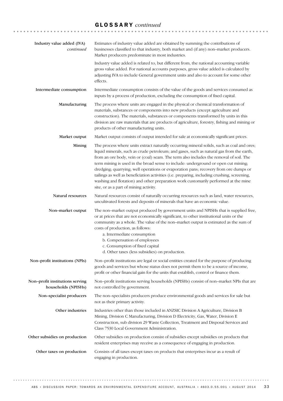| Industry value added (IVA)<br>continued                | Estimates of industry value added are obtained by summing the contributions of<br>businesses classified to that industry, both market and (if any) non-market producers.<br>Market producers predominate in most industries.                                                                                                                                                                                                                                                                                                                                                                                                                                                                    |
|--------------------------------------------------------|-------------------------------------------------------------------------------------------------------------------------------------------------------------------------------------------------------------------------------------------------------------------------------------------------------------------------------------------------------------------------------------------------------------------------------------------------------------------------------------------------------------------------------------------------------------------------------------------------------------------------------------------------------------------------------------------------|
|                                                        | Industry value added is related to, but different from, the national accounting variable<br>gross value added. For national accounts purposes, gross value added is calculated by<br>adjusting IVA to include General government units and also to account for some other<br>effects.                                                                                                                                                                                                                                                                                                                                                                                                           |
| Intermediate consumption                               | Intermediate consumption consists of the value of the goods and services consumed as<br>inputs by a process of production, excluding the consumption of fixed capital.                                                                                                                                                                                                                                                                                                                                                                                                                                                                                                                          |
| Manufacturing                                          | The process where units are engaged in the physical or chemical transformation of<br>materials, substances or components into new products (except agriculture and<br>construction). The materials, substances or components transformed by units in this<br>division are raw materials that are products of agriculture, forestry, fishing and mining or<br>products of other manufacturing units.                                                                                                                                                                                                                                                                                             |
| Market output                                          | Market output consists of output intended for sale at economically significant prices.                                                                                                                                                                                                                                                                                                                                                                                                                                                                                                                                                                                                          |
| Mining                                                 | The process where units extract naturally occurring mineral solids, such as coal and ores;<br>liquid minerals, such as crude petroleum; and gases, such as natural gas from the earth,<br>from an ore body, vein or (coal) seam. The term also includes the removal of soil. The<br>term mining is used in the broad sense to include: underground or open cut mining;<br>dredging; quarrying; well operations or evaporation pans; recovery from ore dumps or<br>tailings as well as beneficiation activities (i.e. preparing, including crushing, screening,<br>washing and flotation) and other preparation work customarily performed at the mine<br>site, or as a part of mining activity. |
| Natural resources                                      | Natural resources consist of naturally occurring resources such as land, water resources,<br>uncultivated forests and deposits of minerals that have an economic value.                                                                                                                                                                                                                                                                                                                                                                                                                                                                                                                         |
| Non-market output                                      | The non-market output produced by government units and NPISHs that is supplied free,<br>or at prices that are not economically significant, to other institutional units or the<br>community as a whole. The value of the non-market output is estimated as the sum of<br>costs of production, as follows:<br>a. Intermediate consumption<br>b. Compensation of employees<br>c. Consumption of fixed capital<br>d. Other taxes (less subsidies) on production.                                                                                                                                                                                                                                  |
| Non-profit institutions (NPIs)                         | Non-profit institutions are legal or social entities created for the purpose of producing<br>goods and services but whose status does not permit them to be a source of income,<br>profit or other financial gain for the units that establish, control or finance them.                                                                                                                                                                                                                                                                                                                                                                                                                        |
| Non-profit institutions serving<br>households (NPISHs) | Non-profit institutions serving households (NPISHs) consist of non-market NPIs that are<br>not controlled by government.                                                                                                                                                                                                                                                                                                                                                                                                                                                                                                                                                                        |
| Non-specialist producers                               | The non-specialists producers produce environmental goods and services for sale but<br>not as their primary activity.                                                                                                                                                                                                                                                                                                                                                                                                                                                                                                                                                                           |
| Other industries                                       | Industries other than those included in ANZSIC Division A Agriculture, Division B<br>Mining, Division C Manufacturing, Division D Electricity, Gas, Water, Division E<br>Construction, sub division 29 Waste Collection, Treatment and Disposal Services and<br>Class 7530 Local Government Administration.                                                                                                                                                                                                                                                                                                                                                                                     |
| Other subsidies on production                          | Other subsidies on production consist of subsidies except subsidies on products that<br>resident enterprises may receive as a consequence of engaging in production.                                                                                                                                                                                                                                                                                                                                                                                                                                                                                                                            |
| Other taxes on production                              | Consists of all taxes except taxes on products that enterprises incur as a result of<br>engaging in production.                                                                                                                                                                                                                                                                                                                                                                                                                                                                                                                                                                                 |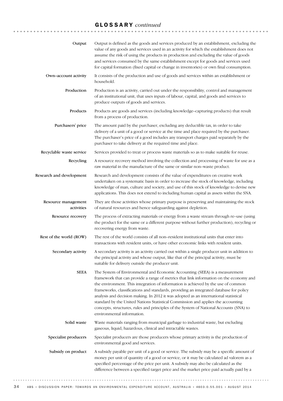| Output                            | Output is defined as the goods and services produced by an establishment, excluding the<br>value of any goods and services used in an activity for which the establishment does not<br>assume the risk of using the products in production and excluding the value of goods<br>and services consumed by the same establishment except for goods and services used<br>for capital formation (fixed capital or change in inventories) or own final consumption.                                                                                                                                                                                            |
|-----------------------------------|----------------------------------------------------------------------------------------------------------------------------------------------------------------------------------------------------------------------------------------------------------------------------------------------------------------------------------------------------------------------------------------------------------------------------------------------------------------------------------------------------------------------------------------------------------------------------------------------------------------------------------------------------------|
| Own-account activity              | It consists of the production and use of goods and services within an establishment or<br>household.                                                                                                                                                                                                                                                                                                                                                                                                                                                                                                                                                     |
| Production                        | Production is an activity, carried out under the responsibility, control and management<br>of an institutional unit, that uses inputs of labour, capital, and goods and services to<br>produce outputs of goods and services.                                                                                                                                                                                                                                                                                                                                                                                                                            |
| Products                          | Products are goods and services (including knowledge-capturing products) that result<br>from a process of production.                                                                                                                                                                                                                                                                                                                                                                                                                                                                                                                                    |
| Purchasers' price                 | The amount paid by the purchaser, excluding any deductible tax, in order to take<br>delivery of a unit of a good or service at the time and place required by the purchaser.<br>The purchaser's price of a good includes any transport charges paid separately by the<br>purchaser to take delivery at the required time and place.                                                                                                                                                                                                                                                                                                                      |
| Recyclable waste service          | Services provided to treat or process waste materials so as to make suitable for reuse.                                                                                                                                                                                                                                                                                                                                                                                                                                                                                                                                                                  |
| Recycling                         | A resource recovery method involving the collection and processing of waste for use as a<br>raw material in the manufacture of the same or similar non-waste product.                                                                                                                                                                                                                                                                                                                                                                                                                                                                                    |
| Research and development          | Research and development consists of the value of expenditures on creative work<br>undertaken on a systematic basis in order to increase the stock of knowledge, including<br>knowledge of man, culture and society, and use of this stock of knowledge to devise new<br>applications. This does not extend to including human capital as assets within the SNA.                                                                                                                                                                                                                                                                                         |
| Resource management<br>activities | They are those activities whose primary purpose is preserving and maintaining the stock<br>of natural resources and hence safeguarding against depletion.                                                                                                                                                                                                                                                                                                                                                                                                                                                                                                |
| Resource recovery                 | The process of extracting materials or energy from a waste stream through re-use (using<br>the product for the same or a different purpose without further production), recycling or<br>recovering energy from waste.                                                                                                                                                                                                                                                                                                                                                                                                                                    |
| Rest of the world (ROW)           | The rest of the world consists of all non-resident institutional units that enter into<br>transactions with resident units, or have other economic links with resident units.                                                                                                                                                                                                                                                                                                                                                                                                                                                                            |
| Secondary activity                | A secondary activity is an activity carried out within a single producer unit in addition to<br>the principal activity and whose output, like that of the principal activity, must be<br>suitable for delivery outside the producer unit.                                                                                                                                                                                                                                                                                                                                                                                                                |
| <b>SEEA</b>                       | The System of Environmental and Economic Accounting (SEEA) is a measurement<br>framework that can provide a range of metrics that link information on the economy and<br>the environment. This integration of information is achieved by the use of common<br>frameworks, classifications and standards, providing an integrated database for policy<br>analysis and decision making. In 2012 it was adopted as an international statistical<br>standard by the United Nations Statistical Commission and applies the accounting<br>concepts, structures, rules and principles of the System of National Accounts (SNA) to<br>environmental information. |
| Solid waste                       | Waste materials ranging from municipal garbage to industrial waste, but excluding<br>gaseous, liquid, hazardous, clinical and intractable wastes.                                                                                                                                                                                                                                                                                                                                                                                                                                                                                                        |
| Specialist producers              | Specialist producers are those producers whose primary activity is the production of<br>environmental good and services.                                                                                                                                                                                                                                                                                                                                                                                                                                                                                                                                 |
| Subsidy on product                | A subsidy payable per unit of a good or service. The subsidy may be a specific amount of<br>money per unit of quantity of a good or service, or it may be calculated ad valorem as a<br>specified percentage of the price per unit. A subsidy may also be calculated as the<br>difference between a specified target price and the market price paid actually paid by a                                                                                                                                                                                                                                                                                  |
|                                   |                                                                                                                                                                                                                                                                                                                                                                                                                                                                                                                                                                                                                                                          |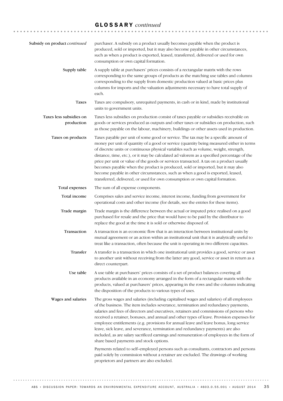| Subsidy on product continued          | purchaser. A subsidy on a product usually becomes payable when the product is<br>produced, sold or imported, but it may also become payable in other circumstances,<br>such as when a product is exported, leased, transferred, delivered or used for own<br>consumption or own capital formation.                                                                                                                                                                                                                                                                                                                                                                                                                                                                                                                                                                                                                       |
|---------------------------------------|--------------------------------------------------------------------------------------------------------------------------------------------------------------------------------------------------------------------------------------------------------------------------------------------------------------------------------------------------------------------------------------------------------------------------------------------------------------------------------------------------------------------------------------------------------------------------------------------------------------------------------------------------------------------------------------------------------------------------------------------------------------------------------------------------------------------------------------------------------------------------------------------------------------------------|
| Supply table                          | A supply table at purchasers' prices consists of a rectangular matrix with the rows<br>corresponding to the same groups of products as the matching use tables and columns<br>corresponding to the supply from domestic production valued at basic prices plus<br>columns for imports and the valuation adjustments necessary to have total supply of<br>each.                                                                                                                                                                                                                                                                                                                                                                                                                                                                                                                                                           |
| <b>Taxes</b>                          | Taxes are compulsory, unrequited payments, in cash or in kind, made by institutional<br>units to government units.                                                                                                                                                                                                                                                                                                                                                                                                                                                                                                                                                                                                                                                                                                                                                                                                       |
| Taxes less subsidies on<br>production | Taxes less subsidies on production consist of taxes payable or subsidies receivable on<br>goods or services produced as outputs and other taxes or subsidies on production, such<br>as those payable on the labour, machinery, buildings or other assets used in production.                                                                                                                                                                                                                                                                                                                                                                                                                                                                                                                                                                                                                                             |
| Taxes on products                     | Taxes payable per unit of some good or service. The tax may be a specific amount of<br>money per unit of quantity of a good or service (quantity being measured either in terms<br>of discrete units or continuous physical variables such as volume, weight, strength,<br>distance, time, etc.), or it may be calculated ad valorem as a specified percentage of the<br>price per unit or value of the goods or services transacted. A tax on a product usually<br>becomes payable when the product is produced, sold or imported, but it may also<br>become payable in other circumstances, such as when a good is exported, leased,<br>transferred, delivered, or used for own consumption or own capital formation.                                                                                                                                                                                                  |
| Total expenses                        | The sum of all expense components.                                                                                                                                                                                                                                                                                                                                                                                                                                                                                                                                                                                                                                                                                                                                                                                                                                                                                       |
| Total income                          | Comprises sales and service income, interest income, funding from government for<br>operational costs and other income (for details, see the entries for these items).                                                                                                                                                                                                                                                                                                                                                                                                                                                                                                                                                                                                                                                                                                                                                   |
| Trade margin                          | Trade margin is the difference between the actual or imputed price realised on a good<br>purchased for resale and the price that would have to be paid by the distributor to<br>replace the good at the time it is sold or otherwise disposed of.                                                                                                                                                                                                                                                                                                                                                                                                                                                                                                                                                                                                                                                                        |
| Transaction                           | A transaction is an economic flow that is an interaction between institutional units by<br>mutual agreement or an action within an institutional unit that it is analytically useful to<br>treat like a transaction, often because the unit is operating in two different capacities.                                                                                                                                                                                                                                                                                                                                                                                                                                                                                                                                                                                                                                    |
| Transfer                              | A transfer is a transaction in which one institutional unit provides a good, service or asset<br>to another unit without receiving from the latter any good, service or asset in return as a<br>direct counterpart.                                                                                                                                                                                                                                                                                                                                                                                                                                                                                                                                                                                                                                                                                                      |
| Use table                             | A use table at purchasers' prices consists of a set of product balances covering all<br>products available in an economy arranged in the form of a rectangular matrix with the<br>products, valued at purchasers' prices, appearing in the rows and the columns indicating<br>the disposition of the products to various types of uses.                                                                                                                                                                                                                                                                                                                                                                                                                                                                                                                                                                                  |
| Wages and salaries                    | The gross wages and salaries (including capitalised wages and salaries) of all employees<br>of the business. The item includes severance, termination and redundancy payments,<br>salaries and fees of directors and executives, retainers and commissions of persons who<br>received a retainer, bonuses, and annual and other types of leave. Provision expenses for<br>employee entitlements (e.g. provisions for annual leave and leave bonus, long service<br>leave, sick leave, and severance, termination and redundancy payments) are also<br>included, as are salary sacrificed earnings and remuneration of employees in the form of<br>share based payments and stock options.<br>Payments related to self-employed persons such as consultants, contractors and persons<br>paid solely by commission without a retainer are excluded. The drawings of working<br>proprietors and partners are also excluded. |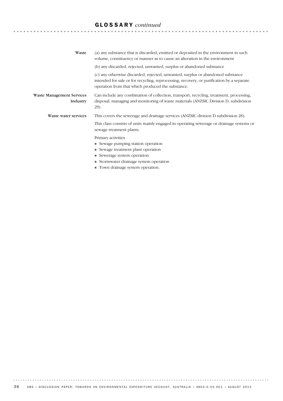| Waste                                        | (a) any substance that is discarded, emitted or deposited in the environment in such<br>volume, constituency or manner as to cause an alteration in the environment                                                               |
|----------------------------------------------|-----------------------------------------------------------------------------------------------------------------------------------------------------------------------------------------------------------------------------------|
|                                              | (b) any discarded, rejected, unwanted, surplus or abandoned substance                                                                                                                                                             |
|                                              | (c) any otherwise discarded, rejected, unwanted, surplus or abandoned substance<br>intended for sale or for recycling, reprocessing, recovery, or purification by a separate<br>operation from that which produced the substance. |
| <b>Waste Management Services</b><br>Industry | Can include any combination of collection, transport, recycling, treatment, processing,<br>disposal, managing and monitoring of waste materials (ANZSIC Division D, subdivision<br>29).                                           |
| Waste water services                         | This covers the sewerage and drainage services (ANZSIC division D subdivision 28).                                                                                                                                                |
|                                              | This class consists of units mainly engaged in operating sewerage or drainage systems or<br>sewage treatment plants.                                                                                                              |
|                                              | Primary activities                                                                                                                                                                                                                |
|                                              | • Sewage pumping station operation                                                                                                                                                                                                |
|                                              | • Sewage treatment plant operation                                                                                                                                                                                                |
|                                              | • Sewerage system operation                                                                                                                                                                                                       |
|                                              | • Stormwater drainage system operation                                                                                                                                                                                            |
|                                              | $\blacksquare$ Town drainage system eperation                                                                                                                                                                                     |

 $\blacksquare$  Town drainage system operation.